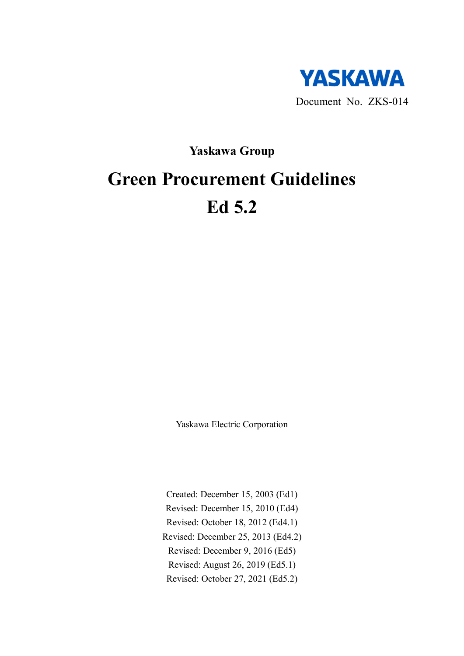

## **Yaskawa Group**

# **Green Procurement Guidelines Ed 5.2**

Yaskawa Electric Corporation

Created: December 15, 2003 (Ed1) Revised: December 15, 2010 (Ed4) Revised: October 18, 2012 (Ed4.1) Revised: December 25, 2013 (Ed4.2) Revised: December 9, 2016 (Ed5) Revised: August 26, 2019 (Ed5.1) Revised: October 27, 2021 (Ed5.2)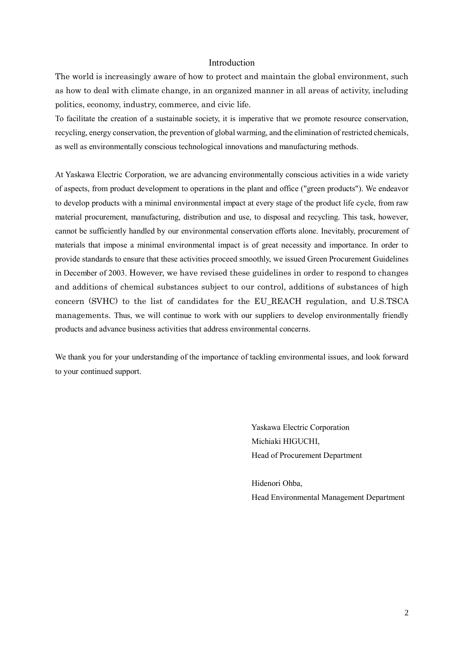#### Introduction

The world is increasingly aware of how to protect and maintain the global environment, such as how to deal with climate change, in an organized manner in all areas of activity, including politics, economy, industry, commerce, and civic life.

To facilitate the creation of a sustainable society, it is imperative that we promote resource conservation, recycling, energy conservation, the prevention of global warming, and the elimination of restricted chemicals, as well as environmentally conscious technological innovations and manufacturing methods.

At Yaskawa Electric Corporation, we are advancing environmentally conscious activities in a wide variety of aspects, from product development to operations in the plant and office ("green products"). We endeavor to develop products with a minimal environmental impact at every stage of the product life cycle, from raw material procurement, manufacturing, distribution and use, to disposal and recycling. This task, however, cannot be sufficiently handled by our environmental conservation efforts alone. Inevitably, procurement of materials that impose a minimal environmental impact is of great necessity and importance. In order to provide standards to ensure that these activities proceed smoothly, we issued Green Procurement Guidelines in December of 2003. However, we have revised these guidelines in order to respond to changes and additions of chemical substances subject to our control, additions of substances of high concern (SVHC) to the list of candidates for the EU\_REACH regulation, and U.S.TSCA managements. Thus, we will continue to work with our suppliers to develop environmentally friendly products and advance business activities that address environmental concerns.

We thank you for your understanding of the importance of tackling environmental issues, and look forward to your continued support.

> Yaskawa Electric Corporation Michiaki HIGUCHI, Head of Procurement Department

Hidenori Ohba, Head Environmental Management Department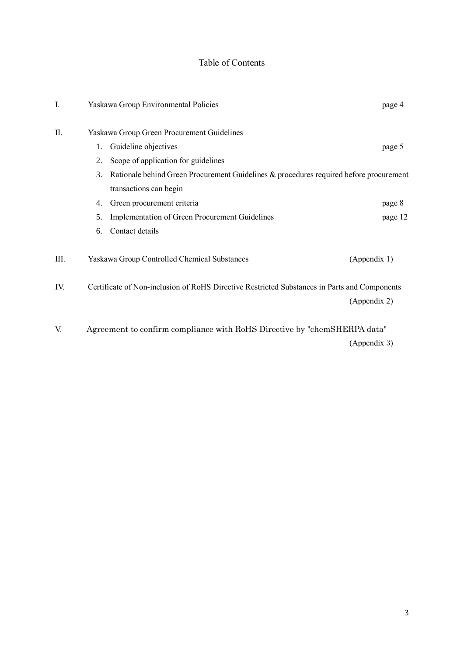## Table of Contents

| I.   | Yaskawa Group Environmental Policies                                                         | page 4       |
|------|----------------------------------------------------------------------------------------------|--------------|
| II.  | Yaskawa Group Green Procurement Guidelines                                                   |              |
|      | Guideline objectives<br>1.                                                                   | page 5       |
|      | Scope of application for guidelines<br>2.                                                    |              |
|      | Rationale behind Green Procurement Guidelines & procedures required before procurement<br>3. |              |
|      | transactions can begin                                                                       |              |
|      | Green procurement criteria<br>4.                                                             | page 8       |
|      | Implementation of Green Procurement Guidelines<br>5.                                         | page 12      |
|      | Contact details<br>6.                                                                        |              |
| III. | Yaskawa Group Controlled Chemical Substances                                                 | (Appendix 1) |
| IV.  | Certificate of Non-inclusion of RoHS Directive Restricted Substances in Parts and Components |              |
|      |                                                                                              | (Appendix 2) |
| V.   | Agreement to confirm compliance with RoHS Directive by "chemSHERPA data"                     |              |
|      |                                                                                              | (Appendix 3) |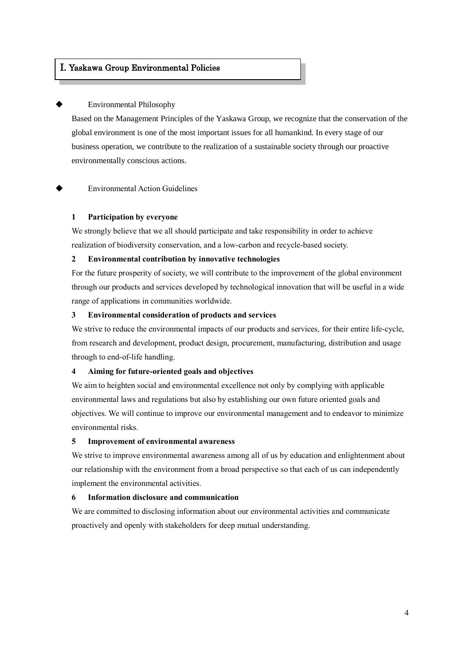#### I. Yaskawa Group Environmental Policies

#### **Environmental Philosophy**

İ

Based on the Management Principles of the Yaskawa Group, we recognize that the conservation of the global environment is one of the most important issues for all humankind. In every stage of our business operation, we contribute to the realization of a sustainable society through our proactive environmentally conscious actions.

**Environmental Action Guidelines** 

#### **1 Participation by everyone**

We strongly believe that we all should participate and take responsibility in order to achieve realization of biodiversity conservation, and a low-carbon and recycle-based society.

#### **2 Environmental contribution by innovative technologies**

For the future prosperity of society, we will contribute to the improvement of the global environment through our products and services developed by technological innovation that will be useful in a wide range of applications in communities worldwide.

#### **3 Environmental consideration of products and services**

We strive to reduce the environmental impacts of our products and services, for their entire life-cycle, from research and development, product design, procurement, manufacturing, distribution and usage through to end-of-life handling.

#### **4 Aiming for future-oriented goals and objectives**

We aim to heighten social and environmental excellence not only by complying with applicable environmental laws and regulations but also by establishing our own future oriented goals and objectives. We will continue to improve our environmental management and to endeavor to minimize environmental risks.

#### **5 Improvement of environmental awareness**

We strive to improve environmental awareness among all of us by education and enlightenment about our relationship with the environment from a broad perspective so that each of us can independently implement the environmental activities.

#### **6 Information disclosure and communication**

We are committed to disclosing information about our environmental activities and communicate proactively and openly with stakeholders for deep mutual understanding.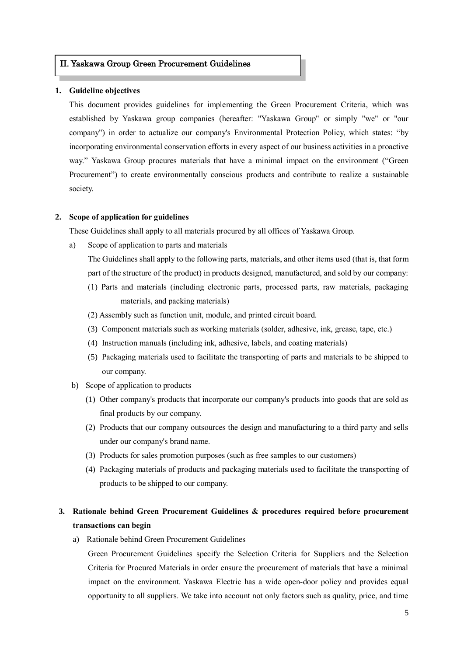#### II. Yaskawa Group Green Procurement Guidelines

#### **1. Guideline objectives**

This document provides guidelines for implementing the Green Procurement Criteria, which was established by Yaskawa group companies (hereafter: "Yaskawa Group" or simply "we" or "our company") in order to actualize our company's Environmental Protection Policy, which states: "by incorporating environmental conservation efforts in every aspect of our business activities in a proactive way." Yaskawa Group procures materials that have a minimal impact on the environment ("Green Procurement") to create environmentally conscious products and contribute to realize a sustainable society.

#### **2. Scope of application for guidelines**

These Guidelines shall apply to all materials procured by all offices of Yaskawa Group.

a) Scope of application to parts and materials

The Guidelines shall apply to the following parts, materials, and other items used (that is, that form part of the structure of the product) in products designed, manufactured, and sold by our company:

- (1) Parts and materials (including electronic parts, processed parts, raw materials, packaging materials, and packing materials)
- (2) Assembly such as function unit, module, and printed circuit board.
- (3) Component materials such as working materials (solder, adhesive, ink, grease, tape, etc.)
- (4) Instruction manuals (including ink, adhesive, labels, and coating materials)
- (5) Packaging materials used to facilitate the transporting of parts and materials to be shipped to our company.
- b) Scope of application to products
	- (1) Other company's products that incorporate our company's products into goods that are sold as final products by our company.
	- (2) Products that our company outsources the design and manufacturing to a third party and sells under our company's brand name.
	- (3) Products for sales promotion purposes (such as free samples to our customers)
	- (4) Packaging materials of products and packaging materials used to facilitate the transporting of products to be shipped to our company.

### **3. Rationale behind Green Procurement Guidelines & procedures required before procurement transactions can begin**

a) Rationale behind Green Procurement Guidelines

Green Procurement Guidelines specify the Selection Criteria for Suppliers and the Selection Criteria for Procured Materials in order ensure the procurement of materials that have a minimal impact on the environment. Yaskawa Electric has a wide open-door policy and provides equal opportunity to all suppliers. We take into account not only factors such as quality, price, and time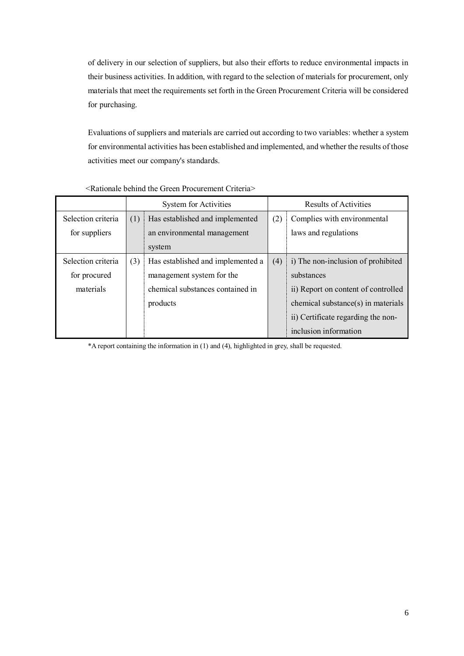of delivery in our selection of suppliers, but also their efforts to reduce environmental impacts in their business activities. In addition, with regard to the selection of materials for procurement, only materials that meet the requirements set forth in the Green Procurement Criteria will be considered for purchasing.

Evaluations of suppliers and materials are carried out according to two variables: whether a system for environmental activities has been established and implemented, and whether the results of those activities meet our company's standards.

|                    |     | <b>System for Activities</b>      |                                    | Results of Activities                |
|--------------------|-----|-----------------------------------|------------------------------------|--------------------------------------|
| Selection criteria | (1) | Has established and implemented   | (2)                                | Complies with environmental          |
| for suppliers      |     | an environmental management       |                                    | laws and regulations                 |
|                    |     | system                            |                                    |                                      |
| Selection criteria | (3) | Has established and implemented a | (4)                                | i) The non-inclusion of prohibited   |
| for procured       |     | management system for the         |                                    | substances                           |
| materials          |     | chemical substances contained in  |                                    | ii) Report on content of controlled  |
|                    |     | products                          |                                    | $chemical substance(s)$ in materials |
|                    |     |                                   | ii) Certificate regarding the non- |                                      |
|                    |     |                                   |                                    | inclusion information                |

#### <Rationale behind the Green Procurement Criteria>

\*A report containing the information in (1) and (4), highlighted in grey, shall be requested.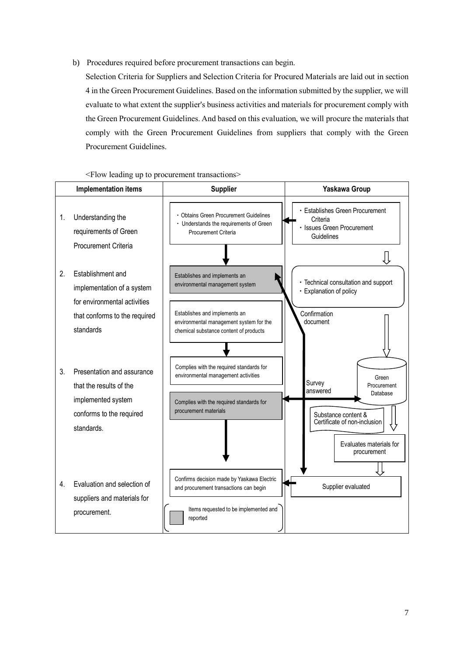b) Procedures required before procurement transactions can begin.

Selection Criteria for Suppliers and Selection Criteria for Procured Materials are laid out in section 4 in the Green Procurement Guidelines. Based on the information submitted by the supplier, we will evaluate to what extent the supplier's business activities and materials for procurement comply with the Green Procurement Guidelines. And based on this evaluation, we will procure the materials that comply with the Green Procurement Guidelines from suppliers that comply with the Green Procurement Guidelines.

#### <Flow leading up to procurement transactions>

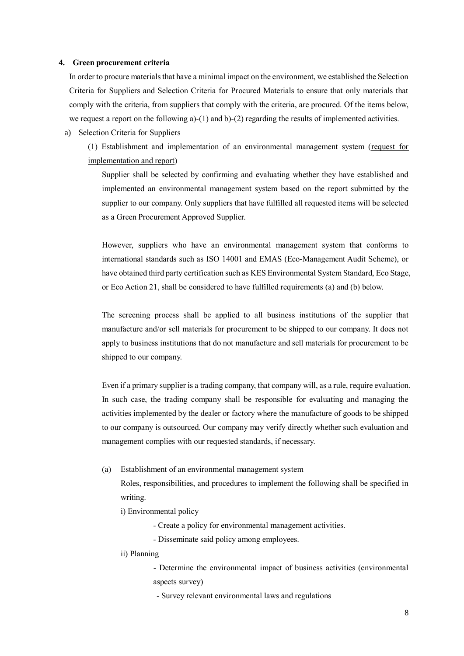#### **4. Green procurement criteria**

In order to procure materials that have a minimal impact on the environment, we established the Selection Criteria for Suppliers and Selection Criteria for Procured Materials to ensure that only materials that comply with the criteria, from suppliers that comply with the criteria, are procured. Of the items below, we request a report on the following a)-(1) and b)-(2) regarding the results of implemented activities.

a) Selection Criteria for Suppliers

(1) Establishment and implementation of an environmental management system (request for implementation and report)

Supplier shall be selected by confirming and evaluating whether they have established and implemented an environmental management system based on the report submitted by the supplier to our company. Only suppliers that have fulfilled all requested items will be selected as a Green Procurement Approved Supplier.

However, suppliers who have an environmental management system that conforms to international standards such as ISO 14001 and EMAS (Eco-Management Audit Scheme), or have obtained third party certification such as KES Environmental System Standard, Eco Stage, or Eco Action 21, shall be considered to have fulfilled requirements (a) and (b) below.

The screening process shall be applied to all business institutions of the supplier that manufacture and/or sell materials for procurement to be shipped to our company. It does not apply to business institutions that do not manufacture and sell materials for procurement to be shipped to our company.

Even if a primary supplier is a trading company, that company will, as a rule, require evaluation. In such case, the trading company shall be responsible for evaluating and managing the activities implemented by the dealer or factory where the manufacture of goods to be shipped to our company is outsourced. Our company may verify directly whether such evaluation and management complies with our requested standards, if necessary.

(a) Establishment of an environmental management system

Roles, responsibilities, and procedures to implement the following shall be specified in writing.

i) Environmental policy

- Create a policy for environmental management activities.

- Disseminate said policy among employees.

#### ii) Planning

- Determine the environmental impact of business activities (environmental aspects survey)

- Survey relevant environmental laws and regulations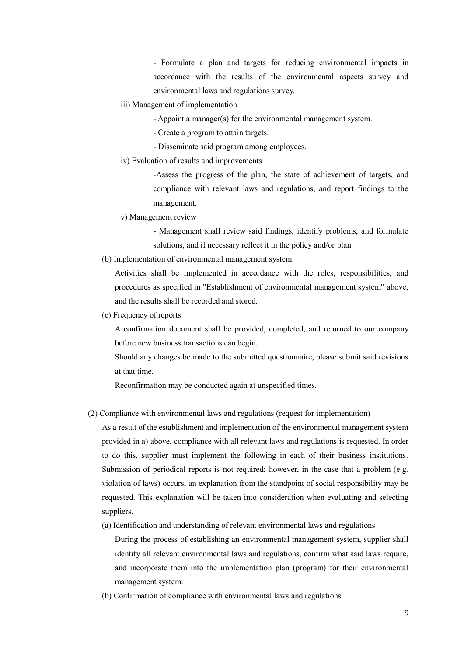- Formulate a plan and targets for reducing environmental impacts in accordance with the results of the environmental aspects survey and environmental laws and regulations survey.

- iii) Management of implementation
	- Appoint a manager(s) for the environmental management system.
	- Create a program to attain targets.
	- Disseminate said program among employees.
- iv) Evaluation of results and improvements

-Assess the progress of the plan, the state of achievement of targets, and compliance with relevant laws and regulations, and report findings to the management.

v) Management review

- Management shall review said findings, identify problems, and formulate solutions, and if necessary reflect it in the policy and/or plan.

(b) Implementation of environmental management system

Activities shall be implemented in accordance with the roles, responsibilities, and procedures as specified in "Establishment of environmental management system" above, and the results shall be recorded and stored.

(c) Frequency of reports

A confirmation document shall be provided, completed, and returned to our company before new business transactions can begin.

Should any changes be made to the submitted questionnaire, please submit said revisions at that time.

Reconfirmation may be conducted again at unspecified times.

(2) Compliance with environmental laws and regulations (request for implementation)

As a result of the establishment and implementation of the environmental management system provided in a) above, compliance with all relevant laws and regulations is requested. In order to do this, supplier must implement the following in each of their business institutions. Submission of periodical reports is not required; however, in the case that a problem (e.g. violation of laws) occurs, an explanation from the standpoint of social responsibility may be requested. This explanation will be taken into consideration when evaluating and selecting suppliers.

(a) Identification and understanding of relevant environmental laws and regulations

During the process of establishing an environmental management system, supplier shall identify all relevant environmental laws and regulations, confirm what said laws require, and incorporate them into the implementation plan (program) for their environmental management system.

(b) Confirmation of compliance with environmental laws and regulations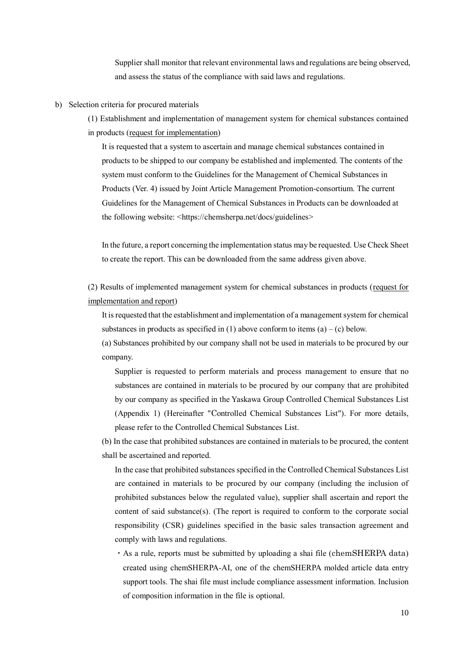Supplier shall monitor that relevant environmental laws and regulations are being observed, and assess the status of the compliance with said laws and regulations.

- b) Selection criteria for procured materials
	- (1) Establishment and implementation of management system for chemical substances contained in products (request for implementation)

It is requested that a system to ascertain and manage chemical substances contained in products to be shipped to our company be established and implemented. The contents of the system must conform to the Guidelines for the Management of Chemical Substances in Products (Ver. 4) issued by Joint Article Management Promotion-consortium. The current Guidelines for the Management of Chemical Substances in Products can be downloaded at the following website: <https://chemsherpa.net/docs/guidelines>

In the future, a report concerning the implementation status may be requested. Use Check Sheet to create the report. This can be downloaded from the same address given above.

(2) Results of implemented management system for chemical substances in products (request for implementation and report)

It is requested that the establishment and implementation of a management system for chemical substances in products as specified in (1) above conform to items (a) – (c) below.

(a) Substances prohibited by our company shall not be used in materials to be procured by our company.

Supplier is requested to perform materials and process management to ensure that no substances are contained in materials to be procured by our company that are prohibited by our company as specified in the Yaskawa Group Controlled Chemical Substances List (Appendix 1) (Hereinafter "Controlled Chemical Substances List"). For more details, please refer to the Controlled Chemical Substances List.

(b) In the case that prohibited substances are contained in materials to be procured, the content shall be ascertained and reported.

In the case that prohibited substances specified in the Controlled Chemical Substances List are contained in materials to be procured by our company (including the inclusion of prohibited substances below the regulated value), supplier shall ascertain and report the content of said substance(s). (The report is required to conform to the corporate social responsibility (CSR) guidelines specified in the basic sales transaction agreement and comply with laws and regulations.

・As a rule, reports must be submitted by uploading a shai file (chemSHERPA data) created using chemSHERPA-AI, one of the chemSHERPA molded article data entry support tools. The shai file must include compliance assessment information. Inclusion of composition information in the file is optional.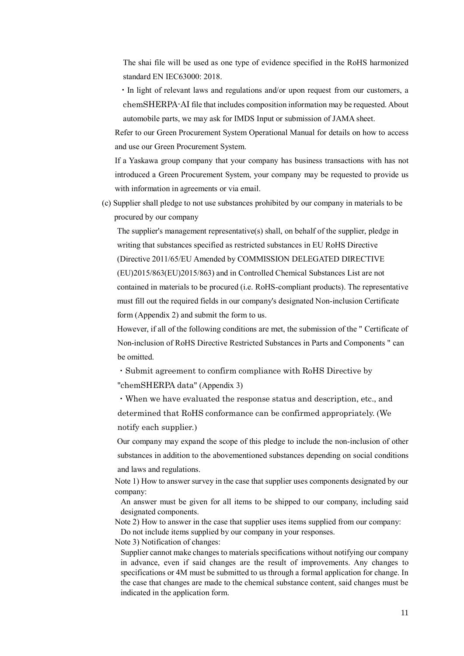The shai file will be used as one type of evidence specified in the RoHS harmonized standard EN IEC63000: 2018.

・In light of relevant laws and regulations and/or upon request from our customers, a chemSHERPA-AI file that includes composition information may be requested. About automobile parts, we may ask for IMDS Input or submission of JAMA sheet.

Refer to our Green Procurement System Operational Manual for details on how to access and use our Green Procurement System.

If a Yaskawa group company that your company has business transactions with has not introduced a Green Procurement System, your company may be requested to provide us with information in agreements or via email.

(c) Supplier shall pledge to not use substances prohibited by our company in materials to be procured by our company

The supplier's management representative(s) shall, on behalf of the supplier, pledge in writing that substances specified as restricted substances in EU RoHS Directive (Directive 2011/65/EU Amended by COMMISSION DELEGATED DIRECTIVE (EU)2015/863(EU)2015/863) and in Controlled Chemical Substances List are not contained in materials to be procured (i.e. RoHS-compliant products). The representative must fill out the required fields in our company's designated Non-inclusion Certificate form (Appendix 2) and submit the form to us.

However, if all of the following conditions are met, the submission of the " Certificate of Non-inclusion of RoHS Directive Restricted Substances in Parts and Components " can be omitted.

・Submit agreement to confirm compliance with RoHS Directive by "chemSHERPA data" (Appendix 3)

・When we have evaluated the response status and description, etc., and determined that RoHS conformance can be confirmed appropriately. (We notify each supplier.)

Our company may expand the scope of this pledge to include the non-inclusion of other substances in addition to the abovementioned substances depending on social conditions and laws and regulations.

Note 1) How to answer survey in the case that supplier uses components designated by our company:

An answer must be given for all items to be shipped to our company, including said designated components.

Note 2) How to answer in the case that supplier uses items supplied from our company: Do not include items supplied by our company in your responses.

Note 3) Notification of changes:

Supplier cannot make changes to materials specifications without notifying our company in advance, even if said changes are the result of improvements. Any changes to specifications or 4M must be submitted to us through a formal application for change. In the case that changes are made to the chemical substance content, said changes must be indicated in the application form.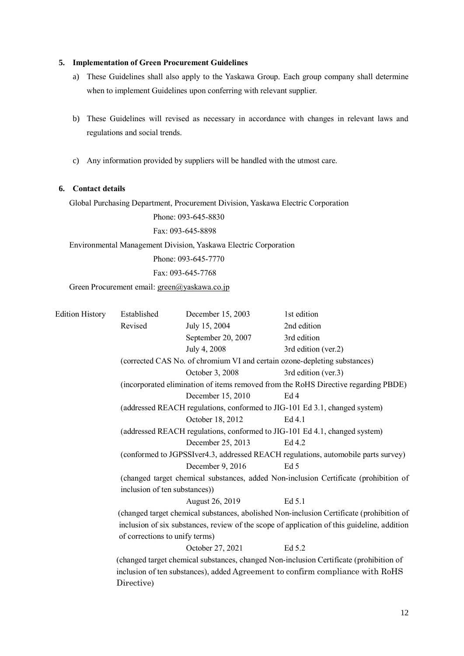#### **5. Implementation of Green Procurement Guidelines**

- a) These Guidelines shall also apply to the Yaskawa Group. Each group company shall determine when to implement Guidelines upon conferring with relevant supplier.
- b) These Guidelines will revised as necessary in accordance with changes in relevant laws and regulations and social trends.
- c) Any information provided by suppliers will be handled with the utmost care.

#### **6. Contact details**

Global Purchasing Department, Procurement Division, Yaskawa Electric Corporation

Phone: 093-645-8830

Fax: 093-645-8898

Environmental Management Division, Yaskawa Electric Corporation

Phone: 093-645-7770

Fax: 093-645-7768

Green Procurement email: [green@yaskawa.co.jp](mailto:green@yaskawa.co.jp)

| <b>Edition History</b> | Established                    | December 15, 2003  | 1st edition                                                                                 |
|------------------------|--------------------------------|--------------------|---------------------------------------------------------------------------------------------|
|                        | Revised                        | July 15, 2004      | 2nd edition                                                                                 |
|                        |                                | September 20, 2007 | 3rd edition                                                                                 |
|                        |                                | July 4, 2008       | 3rd edition (ver.2)                                                                         |
|                        |                                |                    | (corrected CAS No. of chromium VI and certain ozone-depleting substances)                   |
|                        |                                | October 3, 2008    | 3rd edition (ver.3)                                                                         |
|                        |                                |                    | (incorporated elimination of items removed from the RoHS Directive regarding PBDE)          |
|                        |                                | December 15, 2010  | Ed4                                                                                         |
|                        |                                |                    | (addressed REACH regulations, conformed to JIG-101 Ed 3.1, changed system)                  |
|                        |                                | October 18, 2012   | Ed 4.1                                                                                      |
|                        |                                |                    | (addressed REACH regulations, conformed to JIG-101 Ed 4.1, changed system)                  |
|                        |                                | December 25, 2013  | Ed 4.2                                                                                      |
|                        |                                |                    | (conformed to JGPSSIver4.3, addressed REACH regulations, automobile parts survey)           |
|                        |                                | December 9, 2016   | Ed <sub>5</sub>                                                                             |
|                        |                                |                    | (changed target chemical substances, added Non-inclusion Certificate (prohibition of        |
|                        | inclusion of ten substances))  |                    |                                                                                             |
|                        |                                | August 26, 2019    | Ed 5.1                                                                                      |
|                        |                                |                    | (changed target chemical substances, abolished Non-inclusion Certificate (prohibition of    |
|                        |                                |                    | inclusion of six substances, review of the scope of application of this guideline, addition |
|                        | of corrections to unify terms) |                    |                                                                                             |
|                        |                                | October 27, 2021   | Ed 5.2                                                                                      |
|                        |                                |                    | (changed target chemical substances, changed Non-inclusion Certificate (prohibition of      |
|                        |                                |                    | inclusion of ten substances), added Agreement to confirm compliance with RoHS               |
|                        | Directive)                     |                    |                                                                                             |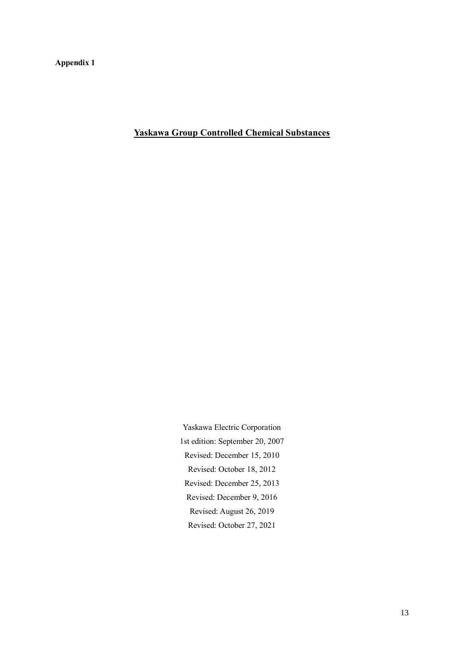**Appendix 1**

**Yaskawa Group Controlled Chemical Substances**

Yaskawa Electric Corporation 1st edition: September 20, 2007 Revised: December 15, 2010 Revised: October 18, 2012 Revised: December 25, 2013 Revised: December 9, 2016 Revised: August 26, 2019 Revised: October 27, 2021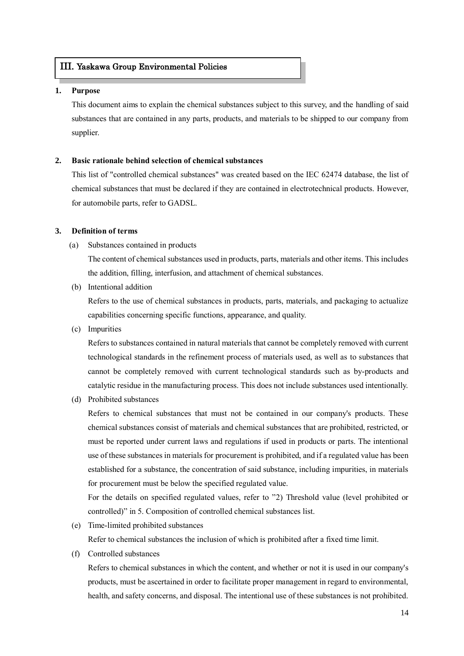#### III. Yaskawa Group Environmental Policies

#### **1. Purpose**

Ī

This document aims to explain the chemical substances subject to this survey, and the handling of said substances that are contained in any parts, products, and materials to be shipped to our company from supplier.

#### **2. Basic rationale behind selection of chemical substances**

This list of "controlled chemical substances" was created based on the IEC 62474 database, the list of chemical substances that must be declared if they are contained in electrotechnical products. However, for automobile parts, refer to GADSL.

#### **3. Definition of terms**

(a) Substances contained in products

The content of chemical substances used in products, parts, materials and other items. This includes the addition, filling, interfusion, and attachment of chemical substances.

(b) Intentional addition

Refers to the use of chemical substances in products, parts, materials, and packaging to actualize capabilities concerning specific functions, appearance, and quality.

(c) Impurities

Refers to substances contained in natural materials that cannot be completely removed with current technological standards in the refinement process of materials used, as well as to substances that cannot be completely removed with current technological standards such as by-products and catalytic residue in the manufacturing process. This does not include substances used intentionally.

(d) Prohibited substances

Refers to chemical substances that must not be contained in our company's products. These chemical substances consist of materials and chemical substances that are prohibited, restricted, or must be reported under current laws and regulations if used in products or parts. The intentional use of these substances in materials for procurement is prohibited, and if a regulated value has been established for a substance, the concentration of said substance, including impurities, in materials for procurement must be below the specified regulated value.

For the details on specified regulated values, refer to "2) Threshold value (level prohibited or controlled)" in 5. Composition of controlled chemical substances list.

(e) Time-limited prohibited substances

Refer to chemical substances the inclusion of which is prohibited after a fixed time limit.

(f) Controlled substances

Refers to chemical substances in which the content, and whether or not it is used in our company's products, must be ascertained in order to facilitate proper management in regard to environmental, health, and safety concerns, and disposal. The intentional use of these substances is not prohibited.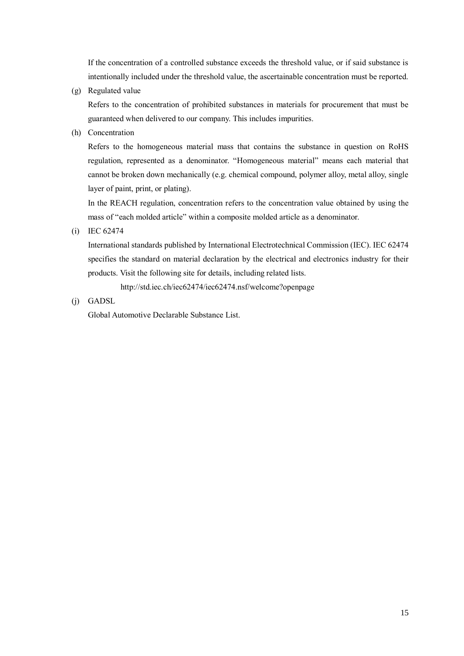If the concentration of a controlled substance exceeds the threshold value, or if said substance is intentionally included under the threshold value, the ascertainable concentration must be reported.

(g) Regulated value

Refers to the concentration of prohibited substances in materials for procurement that must be guaranteed when delivered to our company. This includes impurities.

(h) Concentration

Refers to the homogeneous material mass that contains the substance in question on RoHS regulation, represented as a denominator. "Homogeneous material" means each material that cannot be broken down mechanically (e.g. chemical compound, polymer alloy, metal alloy, single layer of paint, print, or plating).

In the REACH regulation, concentration refers to the concentration value obtained by using the mass of "each molded article" within a composite molded article as a denominator.

(i) IEC 62474

 International standards published by International Electrotechnical Commission (IEC). IEC 62474 specifies the standard on material declaration by the electrical and electronics industry for their products. Visit the following site for details, including related lists.

http://std.iec.ch/iec62474/iec62474.nsf/welcome?openpage

(j) GADSL

Global Automotive Declarable Substance List.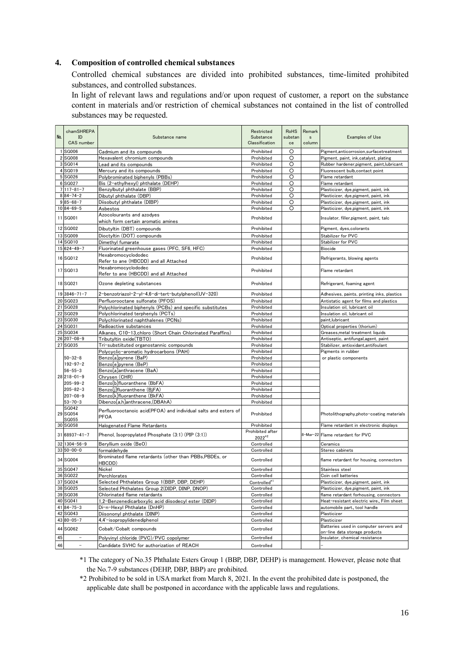#### **4. Composition of controlled chemical substances**

Controlled chemical substances are divided into prohibited substances, time-limited prohibited substances, and controlled substances.

In light of relevant laws and regulations and/or upon request of customer, a report on the substance content in materials and/or restriction of chemical substances not contained in the list of controlled substances may be requested.

| No. | chamSHREPA<br>ID<br>CAS number | Substance name                                                                     | Restricted<br>Substance<br>Classification | <b>RoHS</b><br>substan<br>ce | Remark<br>s<br>column | <b>Examples of Use</b>                                          |
|-----|--------------------------------|------------------------------------------------------------------------------------|-------------------------------------------|------------------------------|-----------------------|-----------------------------------------------------------------|
|     | 1 SG006                        | Cadmium and its compounds                                                          | Prohibited                                | O                            |                       | Pigment, anticorrosion, surfacetreatment                        |
|     | 2 SG008                        | Hexavalent chromium compounds                                                      | Prohibited                                | O                            |                       | Pigment, paint, ink, catalyst, plating                          |
|     | 3 SG014                        | Lead and its compounds                                                             | Prohibited                                | O                            |                       | Rubber hardener, pigment, paint, lubricant                      |
|     | 4 SG019                        | Mercury and its compounds                                                          | Prohibited                                | O                            |                       | Fluorescent bulb, contact point                                 |
|     | 5 SG026                        | Polybrominated biphenyls (PBBs)                                                    | Prohibited                                | $\circ$                      |                       | Flame retardant                                                 |
|     | 6 SG027                        | Bis (2-ethylhexyl) phthalate (DEHP)                                                | Prohibited                                | O                            |                       | Flame retardant                                                 |
|     | $7 117-81-7$                   | Benzylbutyl phthalate (BBP)                                                        | Prohibited                                | O                            |                       | Plasticizer, dye, pigment, paint, ink                           |
|     | $8 84-74-2$                    | Dibutyl phthalate (DBP)                                                            | Prohibited                                | O                            |                       | Plasticizer, dye, pigment, paint, ink                           |
|     | $9 85-68-7$                    | Diisobutyl phthalate (DIBP)                                                        | Prohibited                                | O                            |                       | Plasticizer, dye, pigment, paint, ink                           |
|     | $10 84-69-5$                   | Asbestos                                                                           | Prohibited                                | O                            |                       | Plasticizer, dye, pigment, paint, ink                           |
|     | 11 SG001                       | Azocolourants and azodyes                                                          | Prohibited                                |                              |                       | Insulator, filler, pigment, paint, talc                         |
|     |                                | which form certain aromatic amines                                                 |                                           |                              |                       |                                                                 |
|     | 12 SG002                       | Dibutyltin (DBT) compounds                                                         | Prohibited                                |                              |                       | Pigment, dyes, colorants                                        |
|     | 13 SG009                       | Dioctyltin (DOT) compounds                                                         | Prohibited                                |                              |                       | Stabilizer for PVC                                              |
|     | 14 SG010                       | Dimethyl fumarate                                                                  | Prohibited                                |                              |                       | Stabilizer for PVC                                              |
|     | $15 624-49-7$                  | Fluorinated greenhouse gases (PFC, SF6, HFC)<br>Hexabromocyclododec                | Prohibited                                |                              |                       | <b>Biocide</b>                                                  |
|     | 16 SG012                       | Refer to ane (HBCDD) and all Attached                                              | Prohibited                                |                              |                       | Refrigerants, blowing agents                                    |
|     | 17 SG013                       | Hexabromocyclododec<br>Refer to ane (HBCDD) and all Attached                       | Prohibited                                |                              |                       | Flame retardant                                                 |
|     | 18 SG021                       | Ozone depleting substances                                                         | Prohibited                                |                              |                       | Refrigerant, foaming agent                                      |
|     | $19 3846 - 71 - 7$             | 2-benzotriazol-2-yl-4,6-di-tert-butylphenol(UV-320)                                | Prohibited                                |                              |                       | Adhesives, paints, printing inks, plastics                      |
|     | 20 SG023                       | Perfluorooctane sulfonate (PFOS)                                                   | Prohibited                                |                              |                       | Antistatic agent for films and plastics                         |
|     | 21 SG028                       | Polychlorinated biphenyls (PCBs) and specific substitutes                          | Prohibited                                |                              |                       | Insulation oil, lubricant oil                                   |
|     | 22 SG029                       | Polychlorinated terphenyls (PCTs)                                                  | Prohibited                                |                              |                       | Insulation oil, lubricant oil                                   |
|     | 23 SG030                       | Polychlorinated naphthalenes (PCNs)                                                | Prohibited                                |                              |                       | paint, lubricant                                                |
|     | 24 SG031                       | Radioactive substances                                                             | Prohibited                                |                              |                       | Optical properties (thorium)                                    |
|     | 25 SG034                       | Alkanes, C10-13,chloro (Short Chain Chlorinated Paraffins)                         | Prohibited                                |                              |                       | Greases, metal treatment liquids                                |
|     | 26 207-08-9<br>27 SG035        | Tributyltin oxide(TBTO)                                                            | Prohibited<br>Prohibited                  |                              |                       | Antiseptic, antifungal, agent, paint                            |
|     |                                | Tri-substiituted organostannic compounds<br>Polycyclic-aromatic hydrocarbons (PAH) | Prohibited                                |                              |                       | Stabilizer, antioxidant, antifoulant<br>Pigments in rubber      |
|     | 50-32-8                        | Benzo[a]pyrene (BaP)                                                               | Prohibited                                |                              |                       | or plastic components                                           |
|     | $192 - 97 - 2$                 | Benzo[e]pyrene (BeP)                                                               | Prohibited                                |                              |                       |                                                                 |
|     | 56-55-3                        | Benzo[a]anthracene (BaA)                                                           | Prohibited                                |                              |                       |                                                                 |
|     | $28 218-01-9$                  | Chrysen (CHR)                                                                      | Prohibited                                |                              |                       |                                                                 |
|     | $205 - 99 - 2$                 | Benzo[b]fluoranthene (BbFA)                                                        | Prohibited                                |                              |                       |                                                                 |
|     | 205-82-3                       | Benzo[j]fluoranthene (BjFA)                                                        | Prohibited                                |                              |                       |                                                                 |
|     | 207-08-9                       | Benzo[k]fluoranthene (BkFA)                                                        | Prohibited                                |                              |                       |                                                                 |
|     | $53 - 70 - 3$                  | Dibenzo[a,h]anthracene,(DBAhA)                                                     | Prohibited                                |                              |                       |                                                                 |
|     | SG042<br>29 SG054<br>SG055     | Perfluorooctanoic acid(PFOA) and individual salts and esters of<br>PFOA            | Prohibited                                |                              |                       | Photolithography,photo-coating materials                        |
|     | 30 SG058                       | Halogenated Flame Retardants                                                       | Prohibited                                |                              |                       | Flame retardant in electronic displays                          |
|     | 31 68937-41-7                  | Phenol, Isopropylated Phosphate (3:1) (PIP (3:1))                                  | Prohibited after<br>$2022^{*2}$           |                              |                       | 8-Mar-22 Flame retardant for PVC                                |
|     | 32 1304-56-9                   | Beryllium oxide (BeO)                                                              | Controlled                                |                              |                       | Ceramics                                                        |
|     | $33 50-00-0$                   | formaldehvde                                                                       | Controlled                                |                              |                       | Stereo cabinets                                                 |
|     | 34 SG004                       | Brominated flame retardants (other than PBBs,PBDEs, or<br>HBCDD)                   | Controlled                                |                              |                       | flame retardant for housing, connectors                         |
|     | 35 SG047                       | Nickel                                                                             | Controlled                                |                              |                       | Stainless steel                                                 |
|     | 36 SG022                       | Perchlorates                                                                       | Controlled                                |                              |                       | Coin cell batteries                                             |
|     | 37 SG024                       | Selected Phthalates Group 1(BBP, DBP, DEHP)                                        | Controlled*1                              |                              |                       | Plasticizer, dye, pigment, paint, ink                           |
|     | 38 SG025                       | Selected Phthalates Group 2(DIDP, DINP, DNOP)                                      | Controlled                                |                              |                       | Plasticizer, dye, pigment, paint, ink                           |
|     | 39 SG036                       | Chlorinated flame retardants                                                       | Controlled                                |                              |                       | flame retardant forhousing, connectors                          |
|     | 40 SG041                       | 1,2-Benzenedicarboxylic acid diisodecyl ester (DIDP)                               | Controlled                                |                              |                       | Heat-resistant electric wire, Film sheet                        |
|     | $41 84 - 75 - 3$<br>42 SG043   | Di-n-Hexyl Phthalate (DnHP)<br>Diisononyl phthalate (DINP)                         | Controlled                                |                              |                       | automobile part, tool handle                                    |
|     | $43 80 - 05 - 7$               | 4,4'-isopropylidenediphenol                                                        | Controlled<br>Controlled                  |                              |                       | Plasticizer<br>Plasticizer                                      |
|     | 44 SG062                       | Cobalt/Cobalt compounds                                                            | Controlled                                |                              |                       | Batteries used in computer servers and                          |
| 45  | $\overline{\phantom{a}}$       | Polyvinyl chloride (PVC)/PVC copolymer                                             | Controlled                                |                              |                       | on-line data storage products<br>Insulator, chemical resistance |
| 46  | $\overline{\phantom{a}}$       | Candidate SVHC for authorization of REACH                                          | Controlled                                |                              |                       |                                                                 |

\*1 The category of No.35 Phthalate Esters Group 1 (BBP, DBP, DEHP) is management. However, please note that the No.7-9 substances (DEHP, DBP, BBP) are prohibited.

\*2 Prohibited to be sold in USA market from March 8, 2021. In the event the prohibited date is postponed, the applicable date shall be postponed in accordance with the applicable laws and regulations.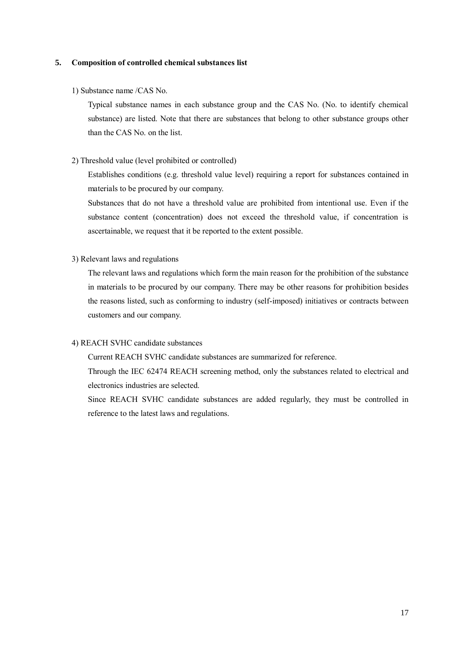#### **5. Composition of controlled chemical substances list**

#### 1) Substance name /CAS No.

Typical substance names in each substance group and the CAS No. (No. to identify chemical substance) are listed. Note that there are substances that belong to other substance groups other than the CAS No. on the list.

#### 2) Threshold value (level prohibited or controlled)

Establishes conditions (e.g. threshold value level) requiring a report for substances contained in materials to be procured by our company.

Substances that do not have a threshold value are prohibited from intentional use. Even if the substance content (concentration) does not exceed the threshold value, if concentration is ascertainable, we request that it be reported to the extent possible.

#### 3) Relevant laws and regulations

The relevant laws and regulations which form the main reason for the prohibition of the substance in materials to be procured by our company. There may be other reasons for prohibition besides the reasons listed, such as conforming to industry (self-imposed) initiatives or contracts between customers and our company.

#### 4) REACH SVHC candidate substances

Current REACH SVHC candidate substances are summarized for reference.

Through the IEC 62474 REACH screening method, only the substances related to electrical and electronics industries are selected.

Since REACH SVHC candidate substances are added regularly, they must be controlled in reference to the latest laws and regulations.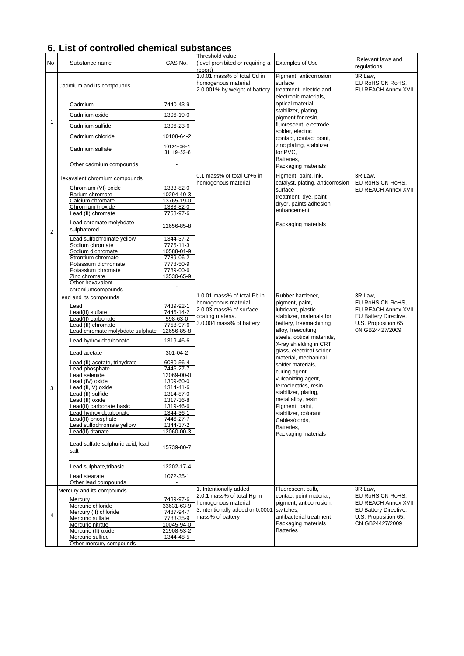## **6**.**List of controlled chemical substances**

| No             | Substance name                             | CAS No.                        | Threshold value<br>(level prohibited or requiring a<br>report)                      | <b>Examples of Use</b>                                                                | Relevant laws and<br>regulations                    |
|----------------|--------------------------------------------|--------------------------------|-------------------------------------------------------------------------------------|---------------------------------------------------------------------------------------|-----------------------------------------------------|
|                | Cadmium and its compounds                  |                                | 1.0.01 mass% of total Cd in<br>homogenous material<br>2.0.001% by weight of battery | Pigment, anticorrosion<br>surface<br>treatment, electric and<br>electronic materials, | 3R Law,<br>EU RoHS, CN RoHS,<br>EU REACH Annex XVII |
|                | Cadmium                                    | 7440-43-9                      |                                                                                     | optical material,                                                                     |                                                     |
|                | Cadmium oxide                              | 1306-19-0                      |                                                                                     | stabilizer, plating,                                                                  |                                                     |
| 1              | Cadmium sulfide                            | 1306-23-6                      |                                                                                     | pigment for resin,<br>fluorescent, electrode,                                         |                                                     |
|                |                                            |                                |                                                                                     | solder, electric                                                                      |                                                     |
|                | Cadmium chloride                           | 10108-64-2                     |                                                                                     | contact, contact point,                                                               |                                                     |
|                | Cadmium sulfate                            | $10124 - 36 - 4$<br>31119-53-6 |                                                                                     | zinc plating, stabilizer<br>for PVC,<br>Batteries.                                    |                                                     |
|                | Other cadmium compounds                    |                                |                                                                                     | Packaging materials                                                                   |                                                     |
|                | Hexavalent chromium compounds              |                                | 0.1 mass% of total Cr+6 in<br>homogenous material                                   | Pigment, paint, ink,<br>catalyst, plating, anticorrosion                              | 3R Law,<br>EU RoHS, CN RoHS,                        |
|                | Chromium (VI) oxide                        | 1333-82-0                      |                                                                                     | surface                                                                               | EU REACH Annex XVII                                 |
|                | Barium chromate                            | 10294-40-3                     |                                                                                     | treatment, dye, paint                                                                 |                                                     |
|                | Calcium chromate                           | 13765-19-0                     |                                                                                     | dryer, paints adhesion                                                                |                                                     |
|                | Chromium trioxide                          | 1333-82-0                      |                                                                                     | enhancement,                                                                          |                                                     |
|                | Lead (II) chromate                         | 7758-97-6                      |                                                                                     |                                                                                       |                                                     |
| 2              | Lead chromate molybdate<br>sulphatered     | 12656-85-8                     |                                                                                     | Packaging materials                                                                   |                                                     |
|                | ead sulfochromate yellow                   | 1344-37-2                      |                                                                                     |                                                                                       |                                                     |
|                | Sodium chromate                            | 7775-11-3                      |                                                                                     |                                                                                       |                                                     |
|                | Sodium dichromate                          | 10588-01-9                     |                                                                                     |                                                                                       |                                                     |
|                | Strontium chromate                         | 7789-06-2                      |                                                                                     |                                                                                       |                                                     |
|                | Potassium dichromate                       | 7778-50-9                      |                                                                                     |                                                                                       |                                                     |
|                | Potassium chromate                         | 7789-00-6                      |                                                                                     |                                                                                       |                                                     |
|                | Zinc chromate                              | 13530-65-9                     |                                                                                     |                                                                                       |                                                     |
|                | Other hexavalent                           |                                |                                                                                     |                                                                                       |                                                     |
|                | chromiumcompounds                          |                                |                                                                                     |                                                                                       |                                                     |
|                | Lead and its compounds                     |                                | 1.0.01 mass% of total Pb in                                                         | Rubber hardener,                                                                      | 3R Law,                                             |
|                | _ead                                       | 7439-92-1                      | homogenous material                                                                 | pigment, paint,                                                                       | EU RoHS, CN RoHS,                                   |
|                | ead(II) sulfate                            | 7446-14-2                      | 2.0.03 mass% of surface                                                             | lubricant, plastic                                                                    | EU REACH Annex XVII                                 |
|                | _ead(II) carbonate                         | 598-63-0                       | coating materia.                                                                    | stabilizer, materials for                                                             | EU Battery Directive,                               |
|                | ead (II) chromate                          | 7758-97-6                      | 3.0.004 mass% of battery                                                            | battery, freemachining<br>alloy, freecutting                                          | U.S. Proposition 65                                 |
|                | ead chromate molybdate sulphate            | 12656-85-8                     |                                                                                     |                                                                                       | CN GB24427/2009                                     |
|                | Lead hydroxidcarbonate                     | 1319-46-6                      |                                                                                     | steels, optical materials,<br>X-ray shielding in CRT                                  |                                                     |
|                | Lead acetate                               | 301-04-2                       |                                                                                     | glass, electrical solder<br>material, mechanical                                      |                                                     |
|                | ead (II) acetate, trihydrate               | 6080-56-4                      |                                                                                     | solder materials,                                                                     |                                                     |
|                | ead phosphate                              | 7446-27-7                      |                                                                                     | curing agent,                                                                         |                                                     |
|                | ead selenide                               | 12069-00-0                     |                                                                                     | vulcanizing agent,                                                                    |                                                     |
|                | ead (IV) oxide                             | 1309-60-0                      |                                                                                     | ferroelectrics, resin                                                                 |                                                     |
| 3              | ead (II,IV) oxide                          | 1314-41-6                      |                                                                                     | stabilizer, plating,                                                                  |                                                     |
|                | .ead (II) sulfide<br>ead (II) oxide        | 1314-87-0<br>1317-36-8         |                                                                                     | metal alloy, resin                                                                    |                                                     |
|                | ead(II) carbonate basic                    | 1319-46-6                      |                                                                                     | Pigment, paint,                                                                       |                                                     |
|                | ead hydroxidcarbonate                      | 1344-36-1                      |                                                                                     | stabilizer, colorant                                                                  |                                                     |
|                | ead(II) phosphate                          | 7446-27-7                      |                                                                                     | Cables/cords,                                                                         |                                                     |
|                | ead sulfochromate yellow                   | 1344-37-2                      |                                                                                     | Batteries,                                                                            |                                                     |
|                | ead(II) titanate                           | 12060-00-3                     |                                                                                     | Packaging materials                                                                   |                                                     |
|                | Lead sulfate, sulphuric acid, lead<br>salt | 15739-80-7                     |                                                                                     |                                                                                       |                                                     |
|                | Lead sulphate,tribasic                     | 12202-17-4                     |                                                                                     |                                                                                       |                                                     |
|                | ead stearate                               | 1072-35-1                      |                                                                                     |                                                                                       |                                                     |
|                | Other lead compounds                       |                                | 1. Intentionally added                                                              | Fluorescent bulb,                                                                     | 3R Law,                                             |
|                | Mercury and its compounds<br>Mercury       | 7439-97-6                      | 2.0.1 mass% of total Hg in                                                          | contact point material,                                                               | EU RoHS, CN RoHS,                                   |
|                | Mercuric chloride                          | 33631-63-9                     | homogenous material                                                                 | pigment, anticorrosion,                                                               | EU REACH Annex XVII                                 |
|                | Mercury (II) chloride                      | 7487-94-7                      | 3.Intentionally added or 0.0001                                                     | switches,                                                                             | EU Battery Directive,                               |
| $\overline{4}$ | Mercuric sulfate                           | 7783-35-9                      | mass% of battery                                                                    | antibacterial treatment                                                               | U.S. Proposition 65,                                |
|                | Mercuric nitrate                           | 10045-94-0                     |                                                                                     | Packaging materials                                                                   | CN GB24427/2009                                     |
|                | Mercuric (II) oxide                        | 21908-53-2                     |                                                                                     | <b>Batteries</b>                                                                      |                                                     |
|                | Mercuric sulfide                           | 1344-48-5                      |                                                                                     |                                                                                       |                                                     |
|                | Other mercury compounds                    | $\overline{\phantom{a}}$       |                                                                                     |                                                                                       |                                                     |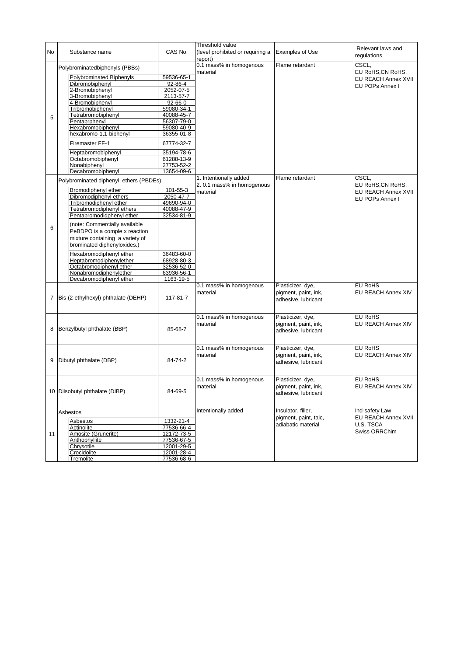| No | Substance name                                     | CAS No.                  | Threshold value<br>(level prohibited or requiring a | Examples of Use       | Relevant laws and<br>regulations |
|----|----------------------------------------------------|--------------------------|-----------------------------------------------------|-----------------------|----------------------------------|
|    |                                                    |                          | report)<br>0.1 mass% in homogenous                  | Flame retardant       | CSCL,                            |
|    | Polybrominatedbiphenyls (PBBs)                     |                          | material                                            |                       | EU RoHS, CN RoHS,                |
|    | Polybrominated Biphenyls                           | 59536-65-1               |                                                     |                       | EU REACH Annex XVII              |
|    | Dibromobiphenyl                                    | 92-86-4                  |                                                     |                       | EU POPs Annex I                  |
|    | 2-Bromobiphenyl<br>3-Bromobiphenyl                 | 2052-07-5<br>2113-57-7   |                                                     |                       |                                  |
|    | 4-Bromobiphenyl                                    | 92-66-0                  |                                                     |                       |                                  |
|    | Tribromobiphenyl                                   | 59080-34-1               |                                                     |                       |                                  |
|    | Tetrabromobiphenyl                                 | 40088-45-7               |                                                     |                       |                                  |
| 5  | Pentabrphenvl                                      | 56307-79-0               |                                                     |                       |                                  |
|    | Hexabromobiphenyl                                  | 59080-40-9               |                                                     |                       |                                  |
|    | hexabromo-1,1-biphenyl                             | 36355-01-8               |                                                     |                       |                                  |
|    | Firemaster FF-1                                    | 67774-32-7               |                                                     |                       |                                  |
|    | Heptabromobiphenyl                                 | 35194-78-6               |                                                     |                       |                                  |
|    | Octabromobiphenyl                                  | 61288-13-9               |                                                     |                       |                                  |
|    | Nonabiphenyl                                       | 27753-52-2               |                                                     |                       |                                  |
|    | Decabromobiphenyl                                  | 13654-09-6               |                                                     |                       |                                  |
|    | Polybrominated diphenyl ethers (PBDEs)             |                          | 1. Intentionally added                              | Flame retardant       | CSCL,                            |
|    | Bromodiphenyl ether                                | 101-55-3                 | 2.0.1 mass% in homogenous                           |                       | EU RoHS, CN RoHS,                |
|    | Dibromodiphenyl ethers                             | 2050-47-7                | material                                            |                       | <b>EU REACH Annex XVII</b>       |
|    | Tribromodiphenyl ether                             | 49690-94-0               |                                                     |                       | EU POPs Annex I                  |
|    | Tetrabromodiphenyl ethers                          | 40088-47-9               |                                                     |                       |                                  |
|    | Pentabromodidphenyl ether                          | 32534-81-9               |                                                     |                       |                                  |
|    | (note: Commercially available                      |                          |                                                     |                       |                                  |
| 6  | PeBDPO is a comple x reaction                      |                          |                                                     |                       |                                  |
|    | mixture containing a variety of                    |                          |                                                     |                       |                                  |
|    | brominated diphenyloxides.)                        |                          |                                                     |                       |                                  |
|    |                                                    |                          |                                                     |                       |                                  |
|    | Hexabromodiphenyl ether<br>Heptabromodiphenylether | 36483-60-0<br>68928-80-3 |                                                     |                       |                                  |
|    | Octabromodiphenyl ether                            | 32536-52-0               |                                                     |                       |                                  |
|    | Nonabromodiphenylether                             | 63936-56-1               |                                                     |                       |                                  |
|    | Decabromodiphenyl ether                            | 1163-19-5                |                                                     |                       |                                  |
|    |                                                    |                          | 0.1 mass% in homogenous                             | Plasticizer, dye,     | <b>EU RoHS</b>                   |
|    |                                                    |                          | material                                            | pigment, paint, ink,  | EU REACH Annex XIV               |
| 7  | Bis (2-ethylhexyl) phthalate (DEHP)                | 117-81-7                 |                                                     | adhesive, lubricant   |                                  |
|    |                                                    |                          |                                                     |                       |                                  |
|    |                                                    |                          | 0.1 mass% in homogenous                             | Plasticizer, dye,     | <b>EU RoHS</b>                   |
|    |                                                    |                          | material                                            | pigment, paint, ink,  | <b>EU REACH Annex XIV</b>        |
| 8  | Benzylbutyl phthalate (BBP)                        | 85-68-7                  |                                                     | adhesive, lubricant   |                                  |
|    |                                                    |                          |                                                     |                       |                                  |
|    |                                                    |                          |                                                     |                       |                                  |
|    |                                                    |                          | 0.1 mass% in homogenous                             | Plasticizer, dye,     | <b>EU RoHS</b>                   |
|    |                                                    |                          | material                                            | pigment, paint, ink,  | EU REACH Annex XIV               |
| 9  | Dibutyl phthalate (DBP)                            | 84-74-2                  |                                                     | adhesive, lubricant   |                                  |
|    |                                                    |                          |                                                     |                       |                                  |
|    |                                                    |                          | 0.1 mass% in homogenous                             | Plasticizer, dye,     | <b>EU RoHS</b>                   |
|    |                                                    |                          | material                                            | pigment, paint, ink,  | <b>EU REACH Annex XIV</b>        |
|    | 10 Diisobutyl phthalate (DIBP)                     | 84-69-5                  |                                                     | adhesive, lubricant   |                                  |
|    |                                                    |                          |                                                     |                       |                                  |
|    |                                                    |                          |                                                     |                       |                                  |
|    | Asbestos                                           |                          | Intentionally added                                 | Insulator, filler,    | Ind-safety Law                   |
|    | Asbestos                                           | 1332-21-4                |                                                     | pigment, paint, talc, | EU REACH Annex XVII<br>U.S. TSCA |
|    | Actinolite                                         | 77536-66-4               |                                                     | adiabatic material    |                                  |
| 11 | Amosite (Grunerite)                                | 12172-73-5               |                                                     |                       | Swiss ORRChim                    |
|    | Anthophyllite                                      | 77536-67-5               |                                                     |                       |                                  |
|    | Chrysotile                                         | 12001-29-5               |                                                     |                       |                                  |
|    | Crocidolite                                        | 12001-28-4               |                                                     |                       |                                  |
|    | Tremolite                                          | 77536-68-6               |                                                     |                       |                                  |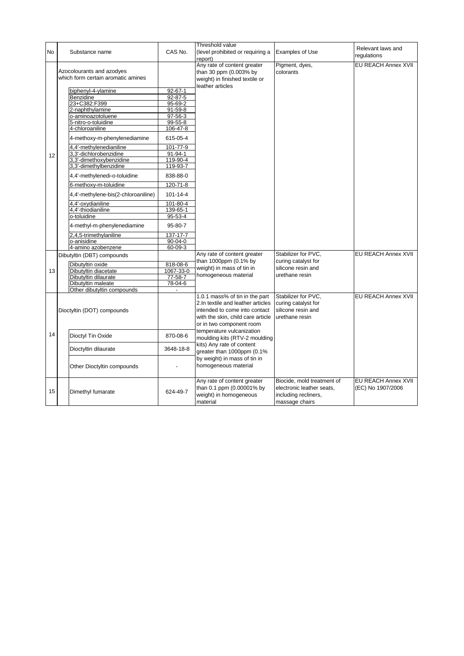|           |                                                                 |                | Threshold value                                                                                             |                                            | Relevant laws and   |
|-----------|-----------------------------------------------------------------|----------------|-------------------------------------------------------------------------------------------------------------|--------------------------------------------|---------------------|
| <b>No</b> | Substance name                                                  | CAS No.        | (level prohibited or requiring a<br>report)                                                                 | <b>Examples of Use</b>                     | requlations         |
|           | Azocolourants and azodyes<br>which form certain aromatic amines |                | Any rate of content greater<br>than 30 ppm (0.003% by<br>weight) in finished textile or<br>leather articles | Pigment, dyes,<br>colorants                | EU REACH Annex XVII |
|           | biphenyl-4-ylamine                                              | 92-67-1        |                                                                                                             |                                            |                     |
|           | Benzidine                                                       | 92-87-5        |                                                                                                             |                                            |                     |
|           | 23+C382:F399                                                    | $95 - 69 - 2$  |                                                                                                             |                                            |                     |
|           | 2-naphthylamine                                                 | $91 - 59 - 8$  |                                                                                                             |                                            |                     |
|           | o-aminoazotoluene                                               | 97-56-3        |                                                                                                             |                                            |                     |
|           | 5-nitro-o-toluidine                                             | 99-55-8        |                                                                                                             |                                            |                     |
|           | 4-chloroaniline                                                 | 106-47-8       |                                                                                                             |                                            |                     |
|           | 4-methoxy-m-phenylenediamine                                    | 615-05-4       |                                                                                                             |                                            |                     |
|           | 4,4'-methylenedianiline                                         | $101 - 77 - 9$ |                                                                                                             |                                            |                     |
| 12        | 3,3'-dichlorobenzidine                                          | 91-94-1        |                                                                                                             |                                            |                     |
|           | 3,3'-dimethoxybenzidine                                         | 119-90-4       |                                                                                                             |                                            |                     |
|           | 3,3'-dimethylbenzidine                                          | 119-93-7       |                                                                                                             |                                            |                     |
|           | 4,4'-methylenedi-o-toluidine                                    | 838-88-0       |                                                                                                             |                                            |                     |
|           | 6-methoxy-m-toluidine                                           | 120-71-8       |                                                                                                             |                                            |                     |
|           | 4,4'-methylene-bis(2-chloroaniline)                             | $101 - 14 - 4$ |                                                                                                             |                                            |                     |
|           | 4,4'-oxydianiline                                               | 101-80-4       |                                                                                                             |                                            |                     |
|           | 4,4'-thiodianiline                                              | 139-65-1       |                                                                                                             |                                            |                     |
|           | o-toluidine                                                     | $95 - 53 - 4$  |                                                                                                             |                                            |                     |
|           | 4-methyl-m-phenylenediamine                                     | 95-80-7        |                                                                                                             |                                            |                     |
|           | 2,4,5-trimethylaniline                                          | $137 - 17 - 7$ |                                                                                                             |                                            |                     |
|           | o-anisidine                                                     | 90-04-0        |                                                                                                             |                                            |                     |
|           | 4-amino azobenzene                                              | 60-09-3        |                                                                                                             |                                            |                     |
|           | Dibutyltin (DBT) compounds                                      |                | Any rate of content greater<br>than 1000ppm (0.1% by                                                        | Stabilizer for PVC,<br>curing catalyst for | EU REACH Annex XVII |
|           | Dibutyltin oxide                                                | 818-08-6       | weight) in mass of tin in                                                                                   | silicone resin and                         |                     |
| 13        | Dibutyltin diacetate                                            | 1067-33-0      |                                                                                                             | urethane resin                             |                     |
|           | Dibutyltin dilaurate                                            | $77 - 58 - 7$  | homogeneous material                                                                                        |                                            |                     |
|           | Dibutyltin maleate                                              | 78-04-6        |                                                                                                             |                                            |                     |
|           | Other dibutyltin compounds                                      |                |                                                                                                             |                                            |                     |
|           |                                                                 |                | 1.0.1 mass% of tin in the part                                                                              | Stabilizer for PVC,                        | EU REACH Annex XVII |
|           |                                                                 |                | 2. In textile and leather articles                                                                          | curing catalyst for<br>silicone resin and  |                     |
|           | Dioctyltin (DOT) compounds                                      |                | intended to come into contact                                                                               |                                            |                     |
|           |                                                                 |                | with the skin, child care article                                                                           | urethane resin                             |                     |
|           |                                                                 |                | or in two component room                                                                                    |                                            |                     |
| 14        | Dioctyl Tin Oxide                                               | 870-08-6       | temperature vulcanization<br>moulding kits (RTV-2 moulding                                                  |                                            |                     |
|           |                                                                 |                | kits) Any rate of content                                                                                   |                                            |                     |
|           | Dioctyltin dilaurate                                            | 3648-18-8      | greater than 1000ppm (0.1%                                                                                  |                                            |                     |
|           |                                                                 |                | by weight) in mass of tin in                                                                                |                                            |                     |
|           | Other Dioctyltin compounds                                      |                | homogeneous material                                                                                        |                                            |                     |
|           |                                                                 |                |                                                                                                             |                                            |                     |
|           |                                                                 |                | Any rate of content greater                                                                                 | Biocide, mold treatment of                 | EU REACH Annex XVII |
| 15        | Dimethyl fumarate                                               | 624-49-7       | than 0.1 ppm (0.00001% by                                                                                   | electronic leather seats,                  | (EC) No 1907/2006   |
|           |                                                                 |                | weight) in homogeneous<br>material                                                                          | including recliners,<br>massage chairs     |                     |
|           |                                                                 |                |                                                                                                             |                                            |                     |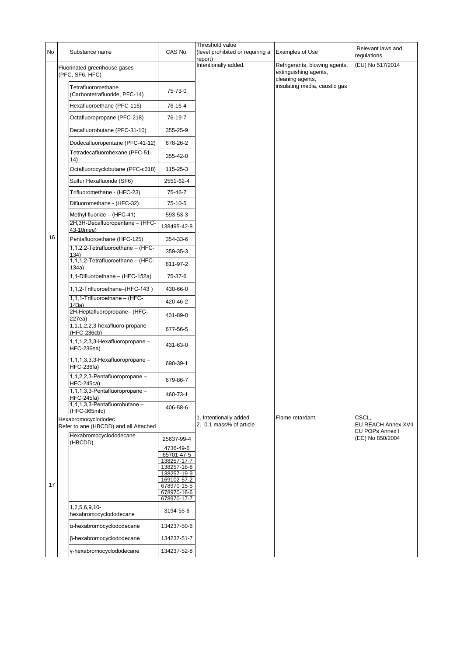| No | Substance name                                               | CAS No.                    | Threshold value<br>(level prohibited or requiring a<br>report) | Examples of Use                                                            | Relevant laws and<br>regulations                |
|----|--------------------------------------------------------------|----------------------------|----------------------------------------------------------------|----------------------------------------------------------------------------|-------------------------------------------------|
|    | Fluorinated greenhouse gases<br>(PFC, SF6, HFC)              |                            | Intentionally added.                                           | Refrigerants, blowing agents,<br>extinguishing agents,<br>cleaning agents, | (EU) No 517/2014                                |
|    | Tetrafluoromethane<br>(Carbontetrafluoride, PFC-14)          | 75-73-0                    |                                                                | insulating media, caustic gas                                              |                                                 |
|    | Hexafluoroethane (PFC-116)                                   | 76-16-4                    |                                                                |                                                                            |                                                 |
|    | Octafluoropropane (PFC-218)                                  | 76-19-7                    |                                                                |                                                                            |                                                 |
|    | Decafluorobutane (PFC-31-10)                                 | 355-25-9                   |                                                                |                                                                            |                                                 |
|    | Dodecafluoropentane (PFC-41-12)                              | 678-26-2                   |                                                                |                                                                            |                                                 |
|    | Tetradecafluorohexane (PFC-51-<br>14)                        | 355-42-0                   |                                                                |                                                                            |                                                 |
|    | Octafluorocyclobutane (PFC-c318)                             | 115-25-3                   |                                                                |                                                                            |                                                 |
|    | Sulfur Hexafluoride (SF6)                                    | 2551-62-4                  |                                                                |                                                                            |                                                 |
|    | Trifluoromethane - (HFC-23)                                  | 75-46-7                    |                                                                |                                                                            |                                                 |
|    | Difluoromethane - (HFC-32)                                   | 75-10-5                    |                                                                |                                                                            |                                                 |
|    | Methyl fluoride - (HFC-41)                                   | 593-53-3                   |                                                                |                                                                            |                                                 |
|    | 2H, 3H-Decafluoropentane - (HFC-<br>43-10mee)                | 138495-42-8                |                                                                |                                                                            |                                                 |
| 16 | Pentafluoroethane (HFC-125)                                  | 354-33-6                   |                                                                |                                                                            |                                                 |
|    | 1,1,2,2-Tetrafluoroethane - (HFC-<br>134)                    | 359-35-3                   |                                                                |                                                                            |                                                 |
|    | 1,1,1,2-Tetrafluoroethane - (HFC-<br>134a)                   | 811-97-2                   |                                                                |                                                                            |                                                 |
|    | 1,1-Difluoroethane - (HFC-152a)                              | 75-37-6                    |                                                                |                                                                            |                                                 |
|    | 1,1,2-Trifluoroethane-(HFC-143)                              | 430-66-0                   |                                                                |                                                                            |                                                 |
|    | 1,1,1-Trifluoroethane - (HFC-<br>143a)                       | 420-46-2                   |                                                                |                                                                            |                                                 |
|    | 2H-Heptafluoropropane- (HFC-<br>227ea)                       | 431-89-0                   |                                                                |                                                                            |                                                 |
|    | 1,1,1,2,2,3-hexafluoro-propane<br>(HFC-236cb)                | 677-56-5                   |                                                                |                                                                            |                                                 |
|    | 1,1,1,2,3,3-Hexafluoropropane -<br><b>HFC-236ea)</b>         | 431-63-0                   |                                                                |                                                                            |                                                 |
|    | $1, 1, 1, 3, 3, 3$ -Hexafluoropropane –<br><b>HFC-236fa)</b> | 690-39-1                   |                                                                |                                                                            |                                                 |
|    | 1,1,2,2,3-Pentafluoropropane -<br><b>HFC-245ca)</b>          | 679-86-7                   |                                                                |                                                                            |                                                 |
|    | 1,1,1,3,3-Pentafluoropropane -<br><b>HFC-245fa)</b>          | 460-73-1                   |                                                                |                                                                            |                                                 |
|    | 1,1,1,3,3-Pentafluorobutane -<br>(HFC-365mfc)                | 406-58-6                   |                                                                |                                                                            |                                                 |
|    | Hexabromocyclododec<br>Refer to ane (HBCDD) and all Attached |                            | 1. Intentionally added<br>2. 0.1 mass% of article              | Flame retardant                                                            | CSCL,<br>EU REACH Annex XVII<br>EU POPs Annex I |
|    | Hexabromocyclododecane<br>(HBCDD)                            | 25637-99-4                 |                                                                |                                                                            | (EC) No 850/2004                                |
|    |                                                              | 4736-49-6<br>65701-47-5    |                                                                |                                                                            |                                                 |
|    |                                                              | 138257-17-7<br>138257-18-8 |                                                                |                                                                            |                                                 |
|    |                                                              | 138257-19-9<br>169102-57-2 |                                                                |                                                                            |                                                 |
| 17 |                                                              | 678970-15-5<br>678970-16-6 |                                                                |                                                                            |                                                 |
|    |                                                              | 678970-17-7                |                                                                |                                                                            |                                                 |
|    | $1,2,5,6,9,10-$<br>hexabromocyclododecane                    | 3194-55-6                  |                                                                |                                                                            |                                                 |
|    | α-hexabromocyclododecane                                     | 134237-50-6                |                                                                |                                                                            |                                                 |
|    | β-hexabromocyclododecane                                     | 134237-51-7                |                                                                |                                                                            |                                                 |
|    | y-hexabromocyclododecane                                     | 134237-52-8                |                                                                |                                                                            |                                                 |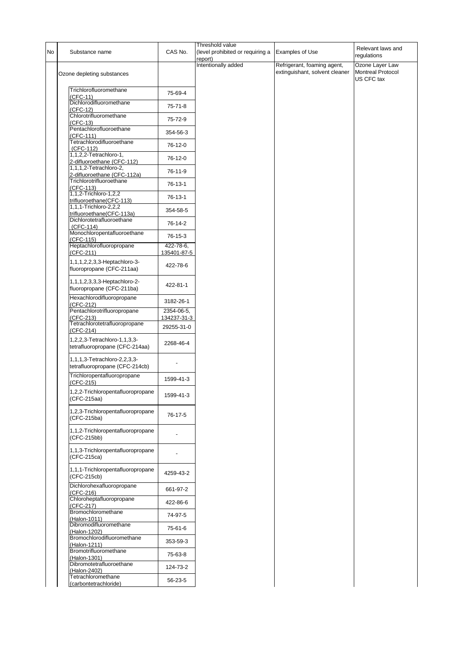| No | Substance name                                                  | CAS No.                   | Threshold value<br>(level prohibited or requiring a<br>report) | Examples of Use                                               | Relevant laws and<br>regulations                          |
|----|-----------------------------------------------------------------|---------------------------|----------------------------------------------------------------|---------------------------------------------------------------|-----------------------------------------------------------|
|    | Ozone depleting substances                                      |                           | Intentionally added                                            | Refrigerant, foaming agent,<br>extinguishant, solvent cleaner | Ozone Layer Law<br><b>Montreal Protocol</b><br>US CFC tax |
|    | Trichlorofluoromethane<br>(CFC-11)                              | 75-69-4                   |                                                                |                                                               |                                                           |
|    | Dichlorodifluoromethane<br>(CFC-12)                             | $75 - 71 - 8$             |                                                                |                                                               |                                                           |
|    | Chlorotrifluoromethane<br>(CFC-13)                              | 75-72-9                   |                                                                |                                                               |                                                           |
|    | Pentachlorofluoroethane<br>(CFC-111)                            | 354-56-3                  |                                                                |                                                               |                                                           |
|    | Tetrachlorodifluoroethane<br>(CFC-112)                          | 76-12-0                   |                                                                |                                                               |                                                           |
|    | 1,1,2,2-Tetrachloro-1,<br>2-difluoroethane (CFC-112)            | 76-12-0                   |                                                                |                                                               |                                                           |
|    | 1,1,1,2-Tetrachloro-2,<br>2-difluoroethane (CFC-112a)           | 76-11-9                   |                                                                |                                                               |                                                           |
|    | Trichlorotrifluoroethane<br>(CFC-113)                           | 76-13-1                   |                                                                |                                                               |                                                           |
|    | 1,1,2-Trichloro-1,2,2<br>trifluoroethane(CFC-113)               | 76-13-1                   |                                                                |                                                               |                                                           |
|    | 1,1,1-Trichloro-2,2,2<br>trifluoroethane(CFC-113a)              | 354-58-5                  |                                                                |                                                               |                                                           |
|    | Dichlorotetrafluoroethane<br>$(CFC-114)$                        | 76-14-2                   |                                                                |                                                               |                                                           |
|    | Monochloropentafluoroethane<br>(CFC-115)                        | 76-15-3                   |                                                                |                                                               |                                                           |
|    | Heptachlorofluoropropane<br>(CFC-211)                           | 422-78-6,<br>135401-87-5  |                                                                |                                                               |                                                           |
|    | 1, 1, 1, 2, 2, 3, 3-Heptachloro-3-<br>fluoropropane (CFC-211aa) | 422-78-6                  |                                                                |                                                               |                                                           |
|    | 1,1,1,2,3,3,3-Heptachloro-2-<br>fluoropropane (CFC-211ba)       | 422-81-1                  |                                                                |                                                               |                                                           |
|    | Hexachlorodifluoropropane<br>(CFC-212)                          | 3182-26-1                 |                                                                |                                                               |                                                           |
|    | Pentachlorotrifluoropropane<br>(CFC-213)                        | 2354-06-5,<br>134237-31-3 |                                                                |                                                               |                                                           |
|    | Tetrachlorotetrafluoropropane<br>(CFC-214)                      | 29255-31-0                |                                                                |                                                               |                                                           |
|    | 1,2,2,3-Tetrachloro-1,1,3,3-<br>tetrafluoropropane (CFC-214aa)  | 2268-46-4                 |                                                                |                                                               |                                                           |
|    | 1,1,1,3-Tetrachloro-2,2,3,3-<br>tetrafluoropropane (CFC-214cb)  |                           |                                                                |                                                               |                                                           |
|    | Trichloropentafluoropropane<br>$(CFC-215)$                      | 1599-41-3                 |                                                                |                                                               |                                                           |
|    | 1,2,2-Trichloropentafluoropropane<br>(CFC-215aa)                | 1599-41-3                 |                                                                |                                                               |                                                           |
|    | 1,2,3-Trichloropentafluoropropane<br>(CFC-215ba)                | 76-17-5                   |                                                                |                                                               |                                                           |
|    | 1,1,2-Trichloropentafluoropropane<br>(CFC-215bb)                |                           |                                                                |                                                               |                                                           |
|    | 1,1,3-Trichloropentafluoropropane<br>(CFC-215ca)                |                           |                                                                |                                                               |                                                           |
|    | 1,1,1-Trichloropentafluoropropane<br>(CFC-215cb)                | 4259-43-2                 |                                                                |                                                               |                                                           |
|    | Dichlorohexafluoropropane<br>(CFC-216)                          | 661-97-2                  |                                                                |                                                               |                                                           |
|    | Chloroheptafluoropropane<br>(CFC-217)                           | 422-86-6                  |                                                                |                                                               |                                                           |
|    | Bromochloromethane<br>(Halon-1011)                              | 74-97-5                   |                                                                |                                                               |                                                           |
|    | Dibromodifluoromethane<br>(Halon-1202)                          | 75-61-6                   |                                                                |                                                               |                                                           |
|    | Bromochlorodifluoromethane<br>(Halon-1211)                      | 353-59-3                  |                                                                |                                                               |                                                           |
|    | Bromotrifluoromethane<br>(Halon-1301)                           | 75-63-8                   |                                                                |                                                               |                                                           |
|    | Dibromotetrafluoroethane<br>(Halon-2402)                        | 124-73-2                  |                                                                |                                                               |                                                           |
|    | Tetrachloromethane<br>(carbontetrachloride)                     | 56-23-5                   |                                                                |                                                               |                                                           |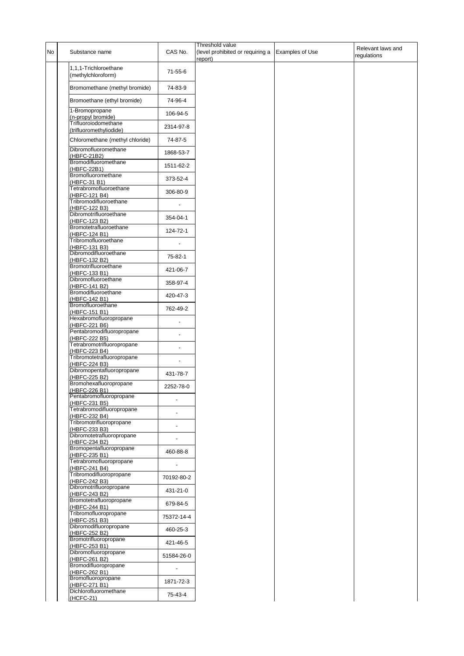| No | Substance name                                               | CAS No.                  | Threshold value<br>(level prohibited or requiring a<br>report) | <b>Examples of Use</b> | Relevant laws and<br>regulations |
|----|--------------------------------------------------------------|--------------------------|----------------------------------------------------------------|------------------------|----------------------------------|
|    | 1,1,1-Trichloroethane<br>(methylchloroform)                  | $71-55-6$                |                                                                |                        |                                  |
|    | Bromomethane (methyl bromide)                                | 74-83-9                  |                                                                |                        |                                  |
|    | Bromoethane (ethyl bromide)                                  | 74-96-4                  |                                                                |                        |                                  |
|    | 1-Bromopropane<br>(n-propyl bromide)<br>Trifluoroiodomethane | 106-94-5                 |                                                                |                        |                                  |
|    | (trifluoromethyliodide)                                      | 2314-97-8                |                                                                |                        |                                  |
|    | Chloromethane (methyl chloride)                              | 74-87-5                  |                                                                |                        |                                  |
|    | Dibromofluoromethane<br>(HBFC-21B2)                          | 1868-53-7                |                                                                |                        |                                  |
|    | Bromodifluoromethane<br>(HBFC-22B1)<br>Bromofluoromethane    | 1511-62-2                |                                                                |                        |                                  |
|    | (HBFC-31 B1)<br>Tetrabromofluoroethane                       | 373-52-4                 |                                                                |                        |                                  |
|    | (HBFC-121 B4)<br>Tribromodifluoroethane                      | 306-80-9                 |                                                                |                        |                                  |
|    | (HBFC-122 B3)<br>Dibromotrifluoroethane                      | $\overline{\phantom{a}}$ |                                                                |                        |                                  |
|    | (HBFC-123 B2)<br>Bromotetrafluoroethane                      | 354-04-1                 |                                                                |                        |                                  |
|    | (HBFC-124 B1)<br>Tribromofluoroethane                        | 124-72-1                 |                                                                |                        |                                  |
|    | (HBFC-131 B3)<br>Dibromodifluoroethane                       |                          |                                                                |                        |                                  |
|    | (HBFC-132 B2)<br>Bromotrifluoroethane                        | 75-82-1                  |                                                                |                        |                                  |
|    | (HBFC-133 B1)<br>Dibromofluoroethane                         | 421-06-7                 |                                                                |                        |                                  |
|    | (HBFC-141 B2)<br>Bromodifluoroethane                         | 358-97-4                 |                                                                |                        |                                  |
|    | (HBFC-142 B1)<br>Bromofluoroethane                           | 420-47-3                 |                                                                |                        |                                  |
|    | (HBFC-151 B1)<br>Hexabromofluoropropane                      | 762-49-2                 |                                                                |                        |                                  |
|    | (HBFC-221 B6)<br>Pentabromodifluoropropane                   |                          |                                                                |                        |                                  |
|    | (HBFC-222 B5)<br>Tetrabromotrifluoropropane                  | ÷,                       |                                                                |                        |                                  |
|    | (HBFC-223 B4)<br>Tribromotetrafluoropropane                  |                          |                                                                |                        |                                  |
|    | (HBFC-224 B3)<br>Dibromopentafluoropropane                   | 431-78-7                 |                                                                |                        |                                  |
|    | (HBFC-225 B2)<br>Bromohexafluoropropane                      | 2252-78-0                |                                                                |                        |                                  |
|    | (HBFC-226 B1)<br>Pentabromofluoropropane                     | $\overline{\phantom{a}}$ |                                                                |                        |                                  |
|    | (HBFC-231 B5)<br>Tetrabromodifluoropropane                   |                          |                                                                |                        |                                  |
|    | (HBFC-232 B4)<br>Tribromotrifluoropropane                    |                          |                                                                |                        |                                  |
|    | (HBFC-233 B3)<br>Dibromotetrafluoropropane                   |                          |                                                                |                        |                                  |
|    | (HBFC-234 B2)<br>Bromopentafluoropropane                     | 460-88-8                 |                                                                |                        |                                  |
|    | (HBFC-235 B1)<br>Tetrabromofluoropropane                     |                          |                                                                |                        |                                  |
|    | (HBFC-241 B4)<br>Tribromodifluoropropane                     | 70192-80-2               |                                                                |                        |                                  |
|    | (HBFC-242 B3)<br>Dibromotrifluoropropane                     | 431-21-0                 |                                                                |                        |                                  |
|    | (HBFC-243 B2)<br>Bromotetrafluoropropane<br>(HBFC-244 B1)    | 679-84-5                 |                                                                |                        |                                  |
|    | Tribromofluoropropane                                        | 75372-14-4               |                                                                |                        |                                  |
|    | (HBFC-251 B3)<br>Dibromodifluoropropane<br>(HBFC-252 B2)     | 460-25-3                 |                                                                |                        |                                  |
|    | Bromotrifluoropropane<br>(HBFC-253 B1)                       | 421-46-5                 |                                                                |                        |                                  |
|    | Dibromofluoropropane<br>(HBFC-261 B2)                        | 51584-26-0               |                                                                |                        |                                  |
|    | Bromodifluoropropane<br>(HBFC-262 B1)                        | $\overline{\phantom{a}}$ |                                                                |                        |                                  |
|    | Bromofluoropropane<br>(HBFC-271 B1)                          | 1871-72-3                |                                                                |                        |                                  |
|    | Dichlorofluoromethane<br>(HCFC-21)                           | 75-43-4                  |                                                                |                        |                                  |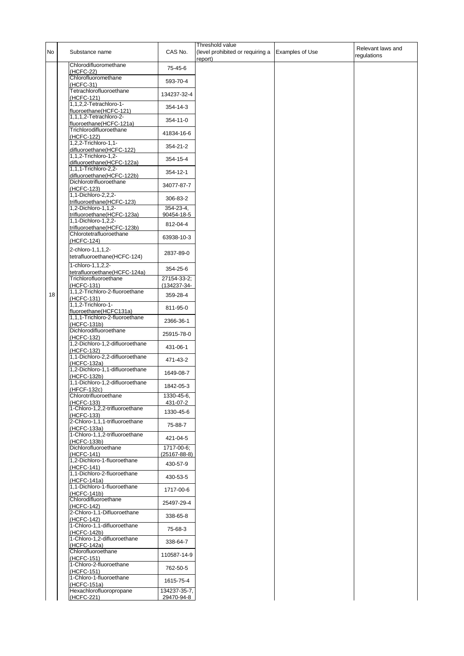| No | Substance name                                           | CAS No.                    | Threshold value<br>(level prohibited or requiring a Examples of Use<br>report) | Relevant laws and<br>regulations |
|----|----------------------------------------------------------|----------------------------|--------------------------------------------------------------------------------|----------------------------------|
|    | Chlorodifluoromethane<br>(HCFC-22)                       | 75-45-6                    |                                                                                |                                  |
|    | Chlorofluoromethane                                      | 593-70-4                   |                                                                                |                                  |
|    | (HCFC-31)<br>Tetrachlorofluoroethane                     | 134237-32-4                |                                                                                |                                  |
|    | (HCFC-121)<br>1,1,2,2-Tetrachloro-1-                     | 354-14-3                   |                                                                                |                                  |
|    | fluoroethane(HCFC-121)<br>1,1,1,2-Tetrachloro-2-         |                            |                                                                                |                                  |
|    | fluoroethane(HCFC-121a)<br>Trichlorodifluoroethane       | 354-11-0                   |                                                                                |                                  |
|    | (HCFC-122)<br>1,2,2-Trichloro-1,1-                       | 41834-16-6                 |                                                                                |                                  |
|    | difluoroethane(HCFC-122)                                 | 354-21-2                   |                                                                                |                                  |
|    | 1,1,2-Trichloro-1,2-<br>difluoroethane(HCFC-122a)        | 354-15-4                   |                                                                                |                                  |
|    | 1,1,1-Trichloro-2,2-<br>difluoroethane(HCFC-122b)        | 354-12-1                   |                                                                                |                                  |
|    | Dichlorotrifluoroethane<br>(HCFC-123)                    | 34077-87-7                 |                                                                                |                                  |
|    | 1,1-Dichloro-2,2,2-<br>trifluoroethane(HCFC-123)         | 306-83-2                   |                                                                                |                                  |
|    | 1,2-Dichloro-1,1,2-                                      | 354-23-4,                  |                                                                                |                                  |
|    | trifluoroethane(HCFC-123a)<br>1,1-Dichloro-1,2,2-        | 90454-18-5<br>812-04-4     |                                                                                |                                  |
|    | trifluoroethane(HCFC-123b)<br>Chlorotetrafluoroethane    | 63938-10-3                 |                                                                                |                                  |
|    | (HCFC-124)                                               |                            |                                                                                |                                  |
|    | 2-chloro-1,1,1,2-<br>tetrafluoroethane(HCFC-124)         | 2837-89-0                  |                                                                                |                                  |
|    | 1-chloro-1,1,2,2-<br>tetrafluoroethane(HCFC-124a)        | 354-25-6                   |                                                                                |                                  |
|    | Trichlorofluoroethane                                    | 27154-33-2;                |                                                                                |                                  |
| 18 | (HCFC-131)<br>1,1,2-Trichloro-2-fluoroethane             | (134237-34-<br>359-28-4    |                                                                                |                                  |
|    | (HCFC-131)<br>1,1,2-Trichloro-1-                         | 811-95-0                   |                                                                                |                                  |
|    | fluoroethane(HCFC131a)<br>1,1,1-Trichloro-2-fluoroethane | 2366-36-1                  |                                                                                |                                  |
|    | (HCFC-131b)<br>Dichlorodifluoroethane                    |                            |                                                                                |                                  |
|    | (HCFC-132)<br>1,2-Dichloro-1,2-difluoroethane            | 25915-78-0                 |                                                                                |                                  |
|    | (HCFC-132)<br>1,1-Dichloro-2,2-difluoroethane            | 431-06-1                   |                                                                                |                                  |
|    | (HCFC-132a)<br>1,2-Dichloro-1,1-difluoroethane           | 471-43-2                   |                                                                                |                                  |
|    | (HCFC-132b)                                              | 1649-08-7                  |                                                                                |                                  |
|    | 1,1-Dichloro-1,2-difluoroethane<br>(HFCF-132c)           | 1842-05-3                  |                                                                                |                                  |
|    | Chlorotrifluoroethane<br>(HCFC-133)                      | 1330-45-6,<br>431-07-2     |                                                                                |                                  |
|    | 1-Chloro-1,2,2-trifluoroethane<br>(HCFC-133)             | 1330-45-6                  |                                                                                |                                  |
|    | 2-Chloro-1,1,1-trifluoroethane<br>(HCFC-133a)            | 75-88-7                    |                                                                                |                                  |
|    | 1-Chloro-1,1,2-trifluoroethane<br>(HCFC-133b)            | 421-04-5                   |                                                                                |                                  |
|    | Dichlorofluoroethane                                     | 1717-00-6;                 |                                                                                |                                  |
|    | (HCFC-141)<br>1,2-Dichloro-1-fluoroethane                | (25167-88-8)<br>430-57-9   |                                                                                |                                  |
|    | (HCFC-141)<br>1.1-Dichloro-2-fluoroethane                | 430-53-5                   |                                                                                |                                  |
|    | (HCFC-141a)<br>1,1-Dichloro-1-fluoroethane               | 1717-00-6                  |                                                                                |                                  |
|    | (HCFC-141b)<br>Chlorodifluoroethane                      |                            |                                                                                |                                  |
|    | (HCFC-142)<br>2-Chloro-1,1-Difluoroethane                | 25497-29-4                 |                                                                                |                                  |
|    | (HCFC-142)<br>1-Chloro-1,1-difluoroethane                | 338-65-8                   |                                                                                |                                  |
|    | (HCFC-142b)                                              | 75-68-3                    |                                                                                |                                  |
|    | 1-Chloro-1,2-difluoroethane<br>(HCFC-142a)               | 338-64-7                   |                                                                                |                                  |
|    | Chlorofluoroethane<br>(HCFC-151)                         | 110587-14-9                |                                                                                |                                  |
|    | 1-Chloro-2-fluoroethane<br>(HCFC-151)                    | 762-50-5                   |                                                                                |                                  |
|    | 1-Chloro-1-fluoroethane<br>$(HCFC-151a)$                 | 1615-75-4                  |                                                                                |                                  |
|    | Hexachlorofluoropropane<br>(HCFC-221)                    | 134237-35-7,<br>29470-94-8 |                                                                                |                                  |
|    |                                                          |                            |                                                                                |                                  |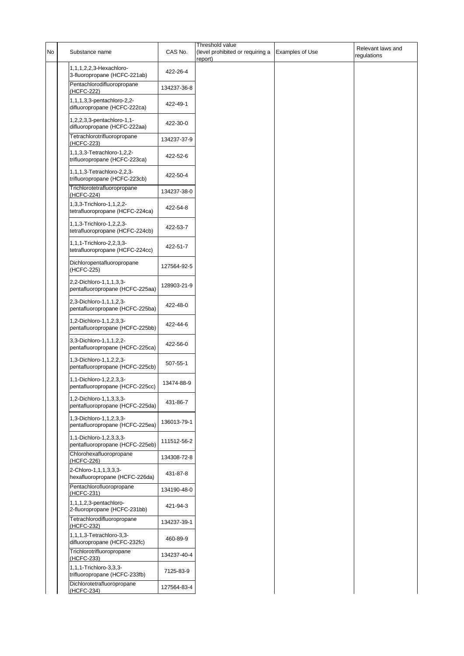| No | Substance name                                              | CAS No.     | Threshold value<br>(level prohibited or requiring a<br>report) | <b>Examples of Use</b> | Relevant laws and<br>regulations |
|----|-------------------------------------------------------------|-------------|----------------------------------------------------------------|------------------------|----------------------------------|
|    | 1,1,1,2,2,3-Hexachloro-<br>3-fluoropropane (HCFC-221ab)     | 422-26-4    |                                                                |                        |                                  |
|    | Pentachlorodifluoropropane<br>(HCFC-222)                    | 134237-36-8 |                                                                |                        |                                  |
|    | 1,1,1,3,3-pentachloro-2,2-<br>difluoropropane (HCFC-222ca)  | 422-49-1    |                                                                |                        |                                  |
|    | 1,2,2,3,3-pentachloro-1,1-<br>difluoropropane (HCFC-222aa)  | 422-30-0    |                                                                |                        |                                  |
|    | Tetrachlorotrifluoropropane<br>(HCFC-223)                   | 134237-37-9 |                                                                |                        |                                  |
|    | 1,1,3,3-Tetrachloro-1,2,2-<br>trifluoropropane (HCFC-223ca) | 422-52-6    |                                                                |                        |                                  |
|    | 1,1,1,3-Tetrachloro-2,2,3-<br>trifluoropropane (HCFC-223cb) | 422-50-4    |                                                                |                        |                                  |
|    | Trichlorotetrafluoropropane<br>(HCFC-224)                   | 134237-38-0 |                                                                |                        |                                  |
|    | 1,3,3-Trichloro-1,1,2,2-<br>tetrafluoropropane (HCFC-224ca) | 422-54-8    |                                                                |                        |                                  |
|    | 1,1,3-Trichloro-1,2,2,3-<br>tetrafluoropropane (HCFC-224cb) | 422-53-7    |                                                                |                        |                                  |
|    | 1,1,1-Trichloro-2,2,3,3-<br>tetrafluoropropane (HCFC-224cc) | 422-51-7    |                                                                |                        |                                  |
|    | Dichloropentafluoropropane<br>(HCFC-225)                    | 127564-92-5 |                                                                |                        |                                  |
|    | 2,2-Dichloro-1,1,1,3,3-<br>pentafluoropropane (HCFC-225aa)  | 128903-21-9 |                                                                |                        |                                  |
|    | 2,3-Dichloro-1,1,1,2,3-<br>pentafluoropropane (HCFC-225ba)  | 422-48-0    |                                                                |                        |                                  |
|    | 1,2-Dichloro-1,1,2,3,3-<br>pentafluoropropane (HCFC-225bb)  | 422-44-6    |                                                                |                        |                                  |
|    | 3,3-Dichloro-1,1,1,2,2-<br>pentafluoropropane (HCFC-225ca)  | 422-56-0    |                                                                |                        |                                  |
|    | 1,3-Dichloro-1,1,2,2,3-<br>pentafluoropropane (HCFC-225cb)  | 507-55-1    |                                                                |                        |                                  |
|    | 1,1-Dichloro-1,2,2,3,3-<br>pentafluoropropane (HCFC-225cc)  | 13474-88-9  |                                                                |                        |                                  |
|    | 1,2-Dichloro-1,1,3,3,3-<br>pentafluoropropane (HCFC-225da)  | 431-86-7    |                                                                |                        |                                  |
|    | 1,3-Dichloro-1,1,2,3,3-<br>pentafluoropropane (HCFC-225ea)  | 136013-79-1 |                                                                |                        |                                  |
|    | 1,1-Dichloro-1,2,3,3,3-<br>pentafluoropropane (HCFC-225eb)  | 111512-56-2 |                                                                |                        |                                  |
|    | Chlorohexafluoropropane<br>(HCFC-226)                       | 134308-72-8 |                                                                |                        |                                  |
|    | 2-Chloro-1,1,1,3,3,3-<br>hexafluoropropane (HCFC-226da)     | 431-87-8    |                                                                |                        |                                  |
|    | Pentachlorofluoropropane<br>(HCFC-231)                      | 134190-48-0 |                                                                |                        |                                  |
|    | 1,1,1,2,3-pentachloro-<br>2-fluoropropane (HCFC-231bb)      | 421-94-3    |                                                                |                        |                                  |
|    | Tetrachlorodifluoropropane<br>(HCFC-232)                    | 134237-39-1 |                                                                |                        |                                  |
|    | 1,1,1,3-Tetrachloro-3,3-<br>difluoropropane (HCFC-232fc)    | 460-89-9    |                                                                |                        |                                  |
|    | Trichlorotrifluoropropane<br>(HCFC-233)                     | 134237-40-4 |                                                                |                        |                                  |
|    | 1,1,1-Trichloro-3,3,3-<br>trifluoropropane (HCFC-233fb)     | 7125-83-9   |                                                                |                        |                                  |
|    | Dichlorotetrafluoropropane<br>(HCFC-234)                    | 127564-83-4 |                                                                |                        |                                  |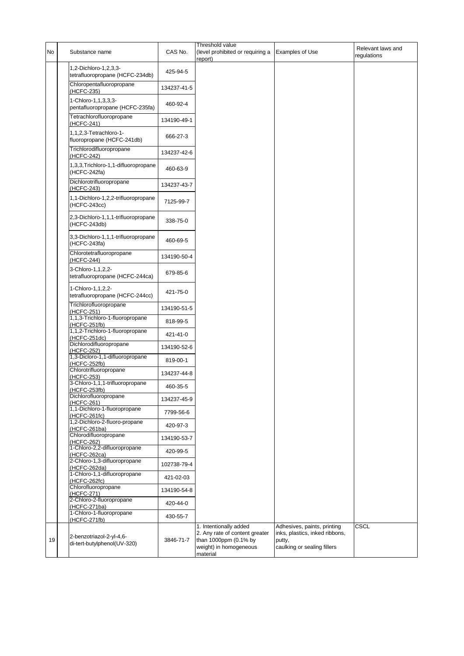| No | Substance name                                           | CAS No.     | Threshold value<br>(level prohibited or requiring a<br>report)                                                          | <b>Examples of Use</b>                                                                                 | Relevant laws and<br>regulations |
|----|----------------------------------------------------------|-------------|-------------------------------------------------------------------------------------------------------------------------|--------------------------------------------------------------------------------------------------------|----------------------------------|
|    | 1,2-Dichloro-1,2,3,3-<br>tetrafluoropropane (HCFC-234db) | 425-94-5    |                                                                                                                         |                                                                                                        |                                  |
|    | Chloropentafluoropropane<br>(HCFC-235)                   | 134237-41-5 |                                                                                                                         |                                                                                                        |                                  |
|    | 1-Chloro-1,1,3,3,3-<br>pentafluoropropane (HCFC-235fa)   | 460-92-4    |                                                                                                                         |                                                                                                        |                                  |
|    | Tetrachlorofluoropropane<br>(HCFC-241)                   | 134190-49-1 |                                                                                                                         |                                                                                                        |                                  |
|    | 1,1,2,3-Tetrachloro-1-<br>fluoropropane (HCFC-241db)     | 666-27-3    |                                                                                                                         |                                                                                                        |                                  |
|    | Trichlorodifluoropropane<br>(HCFC-242)                   | 134237-42-6 |                                                                                                                         |                                                                                                        |                                  |
|    | 1,3,3, Trichloro-1, 1-difluoropropane<br>(HCFC-242fa)    | 460-63-9    |                                                                                                                         |                                                                                                        |                                  |
|    | Dichlorotrifluoropropane<br>(HCFC-243)                   | 134237-43-7 |                                                                                                                         |                                                                                                        |                                  |
|    | 1,1-Dichloro-1,2,2-trifluoropropane<br>(HCFC-243cc)      | 7125-99-7   |                                                                                                                         |                                                                                                        |                                  |
|    | 2,3-Dichloro-1,1,1-trifluoropropane<br>(HCFC-243db)      | 338-75-0    |                                                                                                                         |                                                                                                        |                                  |
|    | 3,3-Dichloro-1,1,1-trifluoropropane<br>(HCFC-243fa)      | 460-69-5    |                                                                                                                         |                                                                                                        |                                  |
|    | Chlorotetrafluoropropane<br>(HCFC-244)                   | 134190-50-4 |                                                                                                                         |                                                                                                        |                                  |
|    | 3-Chloro-1,1,2,2-<br>tetrafluoropropane (HCFC-244ca)     | 679-85-6    |                                                                                                                         |                                                                                                        |                                  |
|    | 1-Chloro-1,1,2,2-<br>tetrafluoropropane (HCFC-244cc)     | 421-75-0    |                                                                                                                         |                                                                                                        |                                  |
|    | Trichlorofluoropropane<br>(HCFC-251)                     | 134190-51-5 |                                                                                                                         |                                                                                                        |                                  |
|    | 1,1,3-Trichloro-1-fluoropropane<br>(HCFC-251fb)          | 818-99-5    |                                                                                                                         |                                                                                                        |                                  |
|    | 1,1,2-Trichloro-1-fluoropropane<br>(HCFC-251dc)          | 421-41-0    |                                                                                                                         |                                                                                                        |                                  |
|    | Dichlorodifluoropropane<br>(HCFC-252)                    | 134190-52-6 |                                                                                                                         |                                                                                                        |                                  |
|    | 1,3-Dicloro-1,1-difluoropropane<br>(HCFC-252fb)          | 819-00-1    |                                                                                                                         |                                                                                                        |                                  |
|    | Chlorotrifluoropropane<br>(HCFC-253)                     | 134237-44-8 |                                                                                                                         |                                                                                                        |                                  |
|    | 3-Chloro-1,1,1-trifluoropropane<br>(HCFC-253fb)          | 460-35-5    |                                                                                                                         |                                                                                                        |                                  |
|    | Dichlorofluoropropane<br>(HCFC-261)                      | 134237-45-9 |                                                                                                                         |                                                                                                        |                                  |
|    | 1,1-Dichloro-1-fluoropropane<br>(HCFC-261fc)             | 7799-56-6   |                                                                                                                         |                                                                                                        |                                  |
|    | 1,2-Dichloro-2-fluoro-propane<br>$(HCFC-261ba)$          | 420-97-3    |                                                                                                                         |                                                                                                        |                                  |
|    | Chlorodifluoropropane<br>(HCFC-262)                      | 134190-53-7 |                                                                                                                         |                                                                                                        |                                  |
|    | 1-Chloro-2,2-difluoropropane<br>(HCFC-262ca)             | 420-99-5    |                                                                                                                         |                                                                                                        |                                  |
|    | 2-Chloro-1,3-difluoropropane<br>(HCFC-262da)             | 102738-79-4 |                                                                                                                         |                                                                                                        |                                  |
|    | 1-Chloro-1,1-difluoropropane<br>(HCFC-262fc)             | 421-02-03   |                                                                                                                         |                                                                                                        |                                  |
|    | Chlorofluoropropane<br>(HCFC-271)                        | 134190-54-8 |                                                                                                                         |                                                                                                        |                                  |
|    | 2-Chloro-2-fluoropropane<br>(HCFC-271ba)                 | 420-44-0    |                                                                                                                         |                                                                                                        |                                  |
|    | 1-Chloro-1-fluoropropane<br>(HCFC-271fb)                 | 430-55-7    |                                                                                                                         |                                                                                                        |                                  |
| 19 | 2-benzotriazol-2-yl-4,6-<br>di-tert-butylphenol(UV-320)  | 3846-71-7   | 1. Intentionally added<br>2. Any rate of content greater<br>than 1000ppm (0.1% by<br>weight) in homogeneous<br>material | Adhesives, paints, printing<br>inks, plastics, inked ribbons,<br>putty,<br>caulking or sealing fillers | CSCL                             |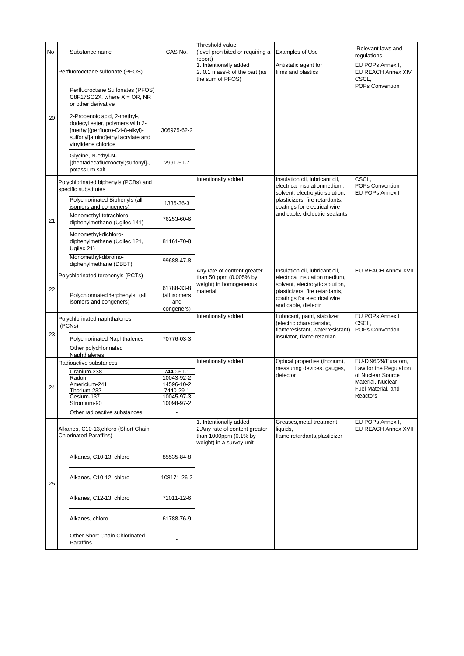| No | Substance name                                                                                                                                                 | CAS No.                                         | Threshold value<br>(level prohibited or requiring a<br>report)                                                | <b>Examples of Use</b>                                                                             | Relevant laws and<br>regulations                |
|----|----------------------------------------------------------------------------------------------------------------------------------------------------------------|-------------------------------------------------|---------------------------------------------------------------------------------------------------------------|----------------------------------------------------------------------------------------------------|-------------------------------------------------|
|    | Perfluorooctane sulfonate (PFOS)                                                                                                                               |                                                 | 1. Intentionally added<br>2.0.1 mass% of the part (as<br>the sum of PFOS)                                     | Antistatic agent for<br>films and plastics                                                         | EU POPs Annex I,<br>EU REACH Annex XIV<br>CSCL, |
|    | Perfluoroctane Sulfonates (PFOS)<br>$C8F17SO2X$ , where $X = OR$ , NR<br>or other derivative                                                                   |                                                 |                                                                                                               |                                                                                                    | POPs Convention                                 |
| 20 | 2-Propenoic acid, 2-methyl-,<br>dodecyl ester, polymers with 2-<br>[methyl[(perfluoro-C4-8-alkyl)-<br>sulfonyl]amino]ethyl acrylate and<br>vinylidene chloride | 306975-62-2                                     |                                                                                                               |                                                                                                    |                                                 |
|    | Glycine, N-ethyl-N-<br>[(heptadecafluorooctyl)sulfonyl]-,<br>potassium salt                                                                                    | 2991-51-7                                       |                                                                                                               |                                                                                                    |                                                 |
|    | Polychlorinated biphenyls (PCBs) and<br>specific substitutes                                                                                                   |                                                 | Intentionally added.                                                                                          | Insulation oil, lubricant oil,<br>electrical insulationmedium,<br>solvent, electrolytic solution,  | CSCL,<br>POPs Convention<br>EU POPs Annex I     |
|    | Polychlorinated Biphenyls (all<br>isomers and congeners)                                                                                                       | 1336-36-3                                       |                                                                                                               | plasticizers, fire retardants,<br>coatings for electrical wire                                     |                                                 |
| 21 | Monomethyl-tetrachloro-<br>diphenylmethane (Ugilec 141)                                                                                                        | 76253-60-6                                      |                                                                                                               | and cable, dielectric sealants                                                                     |                                                 |
|    | Monomethyl-dichloro-<br>diphenylmethane (Ugilec 121,<br>Ugilec 21)                                                                                             | 81161-70-8                                      |                                                                                                               |                                                                                                    |                                                 |
|    | Monomethyl-dibromo-<br>diphenylmethane (DBBT)                                                                                                                  | 99688-47-8                                      |                                                                                                               |                                                                                                    |                                                 |
|    | Polychlorinated terphenyls (PCTs)                                                                                                                              |                                                 | Any rate of content greater<br>than 50 ppm (0.005% by<br>weight) in homogeneous                               | Insulation oil, lubricant oil,<br>electrical insulation medium,<br>solvent, electrolytic solution, | EU REACH Annex XVII                             |
| 22 | Polychlorinated terphenyls (all<br>isomers and congeners)                                                                                                      | 61788-33-8<br>(all isomers<br>and<br>congeners) | material                                                                                                      | plasticizers, fire retardants,<br>coatings for electrical wire<br>and cable, dielectr              |                                                 |
|    | Polychlorinated naphthalenes<br>(PCNs)                                                                                                                         |                                                 | Intentionally added.                                                                                          | Lubricant, paint, stabilizer<br>(electric characteristic,<br>flameresistant, waterresistant)       | EU POPs Annex I<br>CSCL,<br>POPs Convention     |
| 23 | Polychlorinated Naphthalenes                                                                                                                                   | 70776-03-3                                      |                                                                                                               | insulator, flame retardan                                                                          |                                                 |
|    | Other polychlorinated<br>Naphthalenes                                                                                                                          |                                                 |                                                                                                               |                                                                                                    |                                                 |
|    | Radioactive substances                                                                                                                                         |                                                 | Intentionally added                                                                                           | Optical properties (thorium),<br>measuring devices, gauges,                                        | EU-D 96/29/Euratom,<br>Law for the Regulation   |
|    | Uranium-238<br>Radon                                                                                                                                           | 7440-61-1<br>10043-92-2                         |                                                                                                               | detector                                                                                           | of Nuclear Source                               |
| 24 | Americium-241                                                                                                                                                  | 14596-10-2                                      |                                                                                                               |                                                                                                    | Material, Nuclear<br>Fuel Material, and         |
|    | Thorium-232<br>Cesium-137                                                                                                                                      | 7440-29-1<br>10045-97-3                         |                                                                                                               |                                                                                                    | Reactors                                        |
|    | Strontium-90                                                                                                                                                   | 10098-97-2                                      |                                                                                                               |                                                                                                    |                                                 |
|    | Other radioactive substances                                                                                                                                   | ÷,                                              |                                                                                                               |                                                                                                    |                                                 |
|    | Alkanes, C10-13, chloro (Short Chain<br><b>Chlorinated Paraffins)</b>                                                                                          |                                                 | 1. Intentionally added<br>2. Any rate of content greater<br>than 1000ppm (0.1% by<br>weight) in a survey unit | Greases, metal treatment<br>liquids,<br>flame retardants, plasticizer                              | EU POPs Annex I,<br>EU REACH Annex XVII         |
|    | Alkanes, C10-13, chloro                                                                                                                                        | 85535-84-8                                      |                                                                                                               |                                                                                                    |                                                 |
| 25 | Alkanes, C10-12, chloro                                                                                                                                        | 108171-26-2                                     |                                                                                                               |                                                                                                    |                                                 |
|    | Alkanes, C12-13, chloro                                                                                                                                        | 71011-12-6                                      |                                                                                                               |                                                                                                    |                                                 |
|    | Alkanes, chloro                                                                                                                                                | 61788-76-9                                      |                                                                                                               |                                                                                                    |                                                 |
|    | Other Short Chain Chlorinated<br>Paraffins                                                                                                                     |                                                 |                                                                                                               |                                                                                                    |                                                 |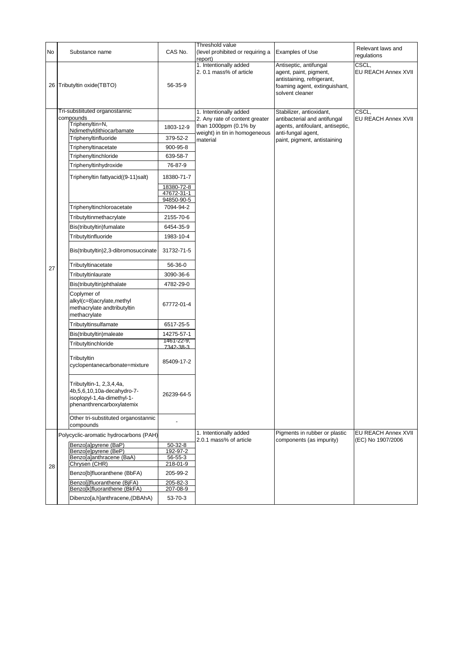|    |                                                                                                                      |                                        | Threshold value                                        |                                                                                                                                    | Relevant laws and                        |
|----|----------------------------------------------------------------------------------------------------------------------|----------------------------------------|--------------------------------------------------------|------------------------------------------------------------------------------------------------------------------------------------|------------------------------------------|
| No | Substance name                                                                                                       | CAS No.                                | (level prohibited or requiring a<br>report)            | Examples of Use                                                                                                                    | regulations                              |
|    | 26 Tributyltin oxide(TBTO)                                                                                           | 56-35-9                                | 1. Intentionally added<br>2.0.1 mass% of article       | Antiseptic, antifungal<br>agent, paint, pigment,<br>antistaining, refrigerant,<br>foaming agent, extinguishant,<br>solvent cleaner | CSCL.<br>EU REACH Annex XVII             |
|    | Tri-substiituted organostannic                                                                                       |                                        | 1. Intentionally added                                 | Stabilizer, antioxidant,                                                                                                           | CSCL,                                    |
|    | compounds<br>Triphenyltin=N,                                                                                         |                                        | 2. Any rate of content greater                         | antibacterial and antifungal                                                                                                       | EU REACH Annex XVII                      |
|    | Ndimethyldithiocarbamate                                                                                             | 1803-12-9                              | than 1000ppm (0.1% by<br>weight) in tin in homogeneous | agents, antifoulant, antiseptic,<br>anti-fungal agent,                                                                             |                                          |
|    | Triphenyltinfluoride                                                                                                 | 379-52-2                               | material                                               | paint, pigment, antistaining                                                                                                       |                                          |
|    | Triphenyltinacetate                                                                                                  | 900-95-8                               |                                                        |                                                                                                                                    |                                          |
|    | Triphenyltinchloride                                                                                                 | 639-58-7                               |                                                        |                                                                                                                                    |                                          |
|    | Triphenyltinhydroxide                                                                                                | 76-87-9                                |                                                        |                                                                                                                                    |                                          |
|    | Triphenyltin fattyacid((9-11)salt)                                                                                   | 18380-71-7                             |                                                        |                                                                                                                                    |                                          |
|    |                                                                                                                      | 18380-72-8<br>47672-31-1<br>94850-90-5 |                                                        |                                                                                                                                    |                                          |
|    | Triphenyltinchloroacetate                                                                                            | 7094-94-2                              |                                                        |                                                                                                                                    |                                          |
|    | Tributyltinmethacrylate                                                                                              | 2155-70-6                              |                                                        |                                                                                                                                    |                                          |
|    | Bis(tributyltin)fumalate                                                                                             | 6454-35-9                              |                                                        |                                                                                                                                    |                                          |
|    | Tributyltinfluoride                                                                                                  | 1983-10-4                              |                                                        |                                                                                                                                    |                                          |
|    | Bis(tributyltin)2,3-dibromosuccinate                                                                                 | 31732-71-5                             |                                                        |                                                                                                                                    |                                          |
|    | Tributyltinacetate                                                                                                   | 56-36-0                                |                                                        |                                                                                                                                    |                                          |
| 27 | Tributyltinlaurate                                                                                                   | 3090-36-6                              |                                                        |                                                                                                                                    |                                          |
|    | Bis(tributyltin)phthalate                                                                                            | 4782-29-0                              |                                                        |                                                                                                                                    |                                          |
|    | Coplymer of<br>alkyl(c=8)acrylate, methyl<br>methacrylate andtributyltin<br>methacrylate                             | 67772-01-4                             |                                                        |                                                                                                                                    |                                          |
|    | Tributyltinsulfamate                                                                                                 | 6517-25-5                              |                                                        |                                                                                                                                    |                                          |
|    | Bis(tributyltin)maleate                                                                                              | 14275-57-1                             |                                                        |                                                                                                                                    |                                          |
|    | Tributyltinchloride                                                                                                  | 1461-22-9,<br>7342-38-3                |                                                        |                                                                                                                                    |                                          |
|    | Tributyltin<br>cyclopentanecarbonate=mixture                                                                         | 85409-17-2                             |                                                        |                                                                                                                                    |                                          |
|    | Tributyltin-1, 2,3,4,4a,<br>4b, 5, 6, 10, 10a-decahydro-7<br>isoplopyl-1,4a-dimethyl-1-<br>phenanthrencarboxylatemix | 26239-64-5                             |                                                        |                                                                                                                                    |                                          |
|    | Other tri-substituted organostannic<br>compounds                                                                     |                                        |                                                        |                                                                                                                                    |                                          |
|    | Polycyclic-aromatic hydrocarbons (PAH)                                                                               |                                        | 1. Intentionally added<br>2.0.1 mass% of article       | Pigments in rubber or plastic<br>components (as impurity)                                                                          | EU REACH Annex XVII<br>(EC) No 1907/2006 |
|    | Benzo[a]pyrene (BaP)                                                                                                 | $50-32-8$                              |                                                        |                                                                                                                                    |                                          |
|    | Benzo[e]pyrene (BeP)<br>Benzo[a]anthracene (BaA)                                                                     | 192-97-2<br>56-55-3                    |                                                        |                                                                                                                                    |                                          |
| 28 | Chrysen (CHR)                                                                                                        | 218-01-9                               |                                                        |                                                                                                                                    |                                          |
|    | Benzo[b]fluoranthene (BbFA)                                                                                          | 205-99-2                               |                                                        |                                                                                                                                    |                                          |
|    | Benzolilfluoranthene (BiFA)<br>Benzo[k]fluoranthene (BkFA)                                                           | 205-82-3<br>207-08-9                   |                                                        |                                                                                                                                    |                                          |
|    | Dibenzo[a,h]anthracene,(DBAhA)                                                                                       | 53-70-3                                |                                                        |                                                                                                                                    |                                          |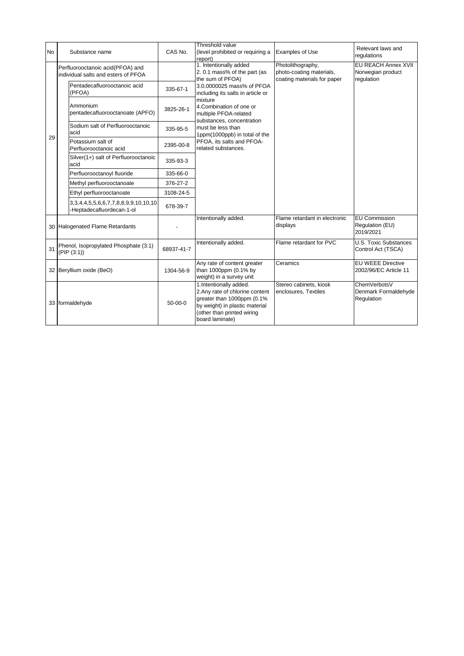| <b>No</b> |                                                     | Substance name                                                                    | CAS No.    | Threshold value<br>(level prohibited or requiring a<br>report)                                                                                                                                      | <b>Examples of Use</b>                                                       | Relevant laws and<br>regulations                       |
|-----------|-----------------------------------------------------|-----------------------------------------------------------------------------------|------------|-----------------------------------------------------------------------------------------------------------------------------------------------------------------------------------------------------|------------------------------------------------------------------------------|--------------------------------------------------------|
|           |                                                     | Perfluorooctanoic acid(PFOA) and<br>individual salts and esters of PFOA           |            | 1. Intentionally added<br>2.0.1 mass% of the part (as<br>the sum of PFOA)                                                                                                                           | Photolithography,<br>photo-coating materials,<br>coating materials for paper | EU REACH Annex XVII<br>Norwegian product<br>regulation |
|           |                                                     | Pentadecafluorooctanoic acid<br>(PFOA)                                            | 335-67-1   | 3.0.0000025 mass% of PFOA<br>including its salts in article or                                                                                                                                      |                                                                              |                                                        |
|           |                                                     | Ammonium<br>pentadecafluorooctanoate (APFO)                                       | 3825-26-1  | mixture<br>4. Combination of one or<br>multiple PFOA-related<br>substances, concentration<br>must be less than<br>1ppm(1000ppb) in total of the<br>PFOA, its salts and PFOA-<br>related substances. |                                                                              |                                                        |
|           |                                                     | Sodium salt of Perfluorooctanoic<br>acid                                          | 335-95-5   |                                                                                                                                                                                                     |                                                                              |                                                        |
| 29        |                                                     | Potassium salt of<br>Perfluorooctanoic acid                                       | 2395-00-8  |                                                                                                                                                                                                     |                                                                              |                                                        |
|           |                                                     | Silver(1+) salt of Perfluorooctanoic<br>acid                                      | 335-93-3   |                                                                                                                                                                                                     |                                                                              |                                                        |
|           |                                                     | Perfluorooctanoyl fluoride                                                        | 335-66-0   |                                                                                                                                                                                                     |                                                                              |                                                        |
|           |                                                     | Methyl perfluorooctanoate                                                         | 376-27-2   |                                                                                                                                                                                                     |                                                                              |                                                        |
|           |                                                     | Ethyl perfluorooctanoate                                                          | 3108-24-5  |                                                                                                                                                                                                     |                                                                              |                                                        |
|           |                                                     | 3, 3, 4, 4, 5, 5, 6, 6, 7, 7, 8, 8, 9, 9, 10, 10, 10<br>-Heptadecafluordecan-1-ol | 678-39-7   |                                                                                                                                                                                                     |                                                                              |                                                        |
|           |                                                     | 30 Halogenated Flame Retardants                                                   |            | Intentionally added.                                                                                                                                                                                | Flame retardant in electronic<br>displays                                    | <b>EU Commission</b><br>Regulation (EU)<br>2019/2021   |
| 31        | Phenol, Isopropylated Phosphate (3:1)<br>(PIP(3:1)) |                                                                                   | 68937-41-7 | Intentionally added.                                                                                                                                                                                | Flame retardant for PVC                                                      | <b>U.S. Toxic Substances</b><br>Control Act (TSCA)     |
|           | 32 Beryllium oxide (BeO)                            |                                                                                   | 1304-56-9  | Any rate of content greater<br>than 1000ppm (0.1% by<br>weight) in a survey unit                                                                                                                    | Ceramics                                                                     | EU WEEE Directive<br>2002/96/EC Article 11             |
|           |                                                     | 33 formaldehyde                                                                   | $50-00-0$  | 1.Intentionally added.<br>2. Any rate of chlorine content<br>greater than 1000ppm (0.1%<br>by weight) in plastic material<br>(other than printed wiring<br>board laminate)                          | Stereo cabinets, kiosk<br>enclosures, Textiles                               | ChemVerbotsV<br>Denmark Formaldehyde<br>Regulation     |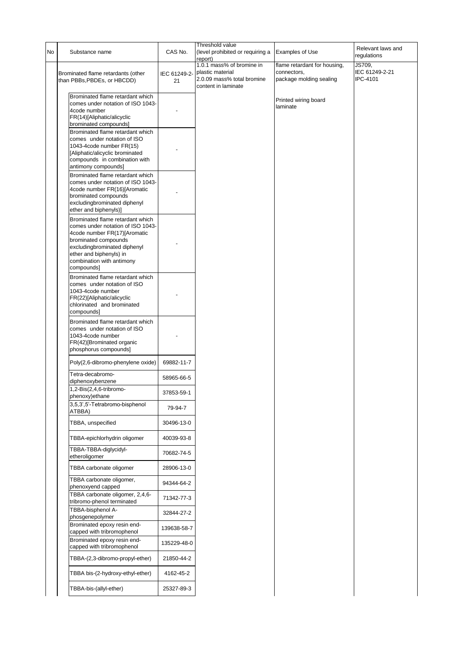| No | Substance name                                                                                                                                                                                                                      | CAS No.            | Threshold value<br>(level prohibited or requiring a<br>report)                                     | <b>Examples of Use</b>                                                 | Relevant laws and<br>regulations     |
|----|-------------------------------------------------------------------------------------------------------------------------------------------------------------------------------------------------------------------------------------|--------------------|----------------------------------------------------------------------------------------------------|------------------------------------------------------------------------|--------------------------------------|
|    | Brominated flame retardants (other<br>than PBBs, PBDEs, or HBCDD)                                                                                                                                                                   | IEC 61249-2-<br>21 | 1.0.1 mass% of bromine in<br>plastic material<br>2.0.09 mass% total bromine<br>content in laminate | flame retardant for housing,<br>connectors.<br>package molding sealing | JS709,<br>IEC 61249-2-21<br>IPC-4101 |
|    | Brominated flame retardant which<br>comes under notation of ISO 1043-<br>4code number<br>FR(14)[Aliphatic/alicyclic<br>brominated compounds]                                                                                        |                    |                                                                                                    | Printed wiring board<br>laminate                                       |                                      |
|    | Brominated flame retardant which<br>comes under notation of ISO<br>1043-4code number FR(15)<br>[Aliphatic/alicyclic brominated<br>compounds in combination with<br>antimony compounds]                                              |                    |                                                                                                    |                                                                        |                                      |
|    | Brominated flame retardant which<br>comes under notation of ISO 1043-<br>4code number FR(16)[Aromatic<br>brominated compounds<br>excludingbrominated diphenyl<br>ether and biphenyls)]                                              |                    |                                                                                                    |                                                                        |                                      |
|    | Brominated flame retardant which<br>comes under notation of ISO 1043-<br>4code number FR(17)[Aromatic<br>brominated compounds<br>excludingbrominated diphenyl<br>ether and biphenyls) in<br>combination with antimony<br>compounds] |                    |                                                                                                    |                                                                        |                                      |
|    | Brominated flame retardant which<br>comes under notation of ISO<br>1043-4code number<br>FR(22)[Aliphatic/alicyclic<br>chlorinated and brominated<br>compounds]                                                                      |                    |                                                                                                    |                                                                        |                                      |
|    | Brominated flame retardant which<br>comes under notation of ISO<br>1043-4code number<br>FR(42)[Brominated organic<br>phosphorus compounds]                                                                                          |                    |                                                                                                    |                                                                        |                                      |
|    | Poly(2,6-dibromo-phenylene oxide)                                                                                                                                                                                                   | 69882-11-7         |                                                                                                    |                                                                        |                                      |
|    | Tetra-decabromo-<br>diphenoxybenzene                                                                                                                                                                                                | 58965-66-5         |                                                                                                    |                                                                        |                                      |
|    | 1,2-Bis(2,4,6-tribromo-<br>phenoxy)ethane                                                                                                                                                                                           | 37853-59-1         |                                                                                                    |                                                                        |                                      |
|    | 3,5,3',5'-Tetrabromo-bisphenol<br>ATBBA)                                                                                                                                                                                            | 79-94-7            |                                                                                                    |                                                                        |                                      |
|    | TBBA, unspecified                                                                                                                                                                                                                   | 30496-13-0         |                                                                                                    |                                                                        |                                      |
|    | TBBA-epichlorhydrin oligomer                                                                                                                                                                                                        | 40039-93-8         |                                                                                                    |                                                                        |                                      |
|    | TBBA-TBBA-diglycidyl-<br>etheroligomer                                                                                                                                                                                              | 70682-74-5         |                                                                                                    |                                                                        |                                      |
|    | TBBA carbonate oligomer                                                                                                                                                                                                             | 28906-13-0         |                                                                                                    |                                                                        |                                      |
|    | TBBA carbonate oligomer,<br>phenoxyend capped                                                                                                                                                                                       | 94344-64-2         |                                                                                                    |                                                                        |                                      |
|    | TBBA carbonate oligomer, 2,4,6-<br>tribromo-phenol terminated                                                                                                                                                                       | 71342-77-3         |                                                                                                    |                                                                        |                                      |
|    | TBBA-bisphenol A-<br>phosgenepolymer                                                                                                                                                                                                | 32844-27-2         |                                                                                                    |                                                                        |                                      |
|    | Brominated epoxy resin end-<br>capped with tribromophenol                                                                                                                                                                           | 139638-58-7        |                                                                                                    |                                                                        |                                      |
|    | Brominated epoxy resin end-<br>capped with tribromophenol                                                                                                                                                                           | 135229-48-0        |                                                                                                    |                                                                        |                                      |
|    | TBBA-(2,3-dibromo-propyl-ether)                                                                                                                                                                                                     | 21850-44-2         |                                                                                                    |                                                                        |                                      |
|    | TBBA bis-(2-hydroxy-ethyl-ether)                                                                                                                                                                                                    | 4162-45-2          |                                                                                                    |                                                                        |                                      |
|    | TBBA-bis-(allyl-ether)                                                                                                                                                                                                              | 25327-89-3         |                                                                                                    |                                                                        |                                      |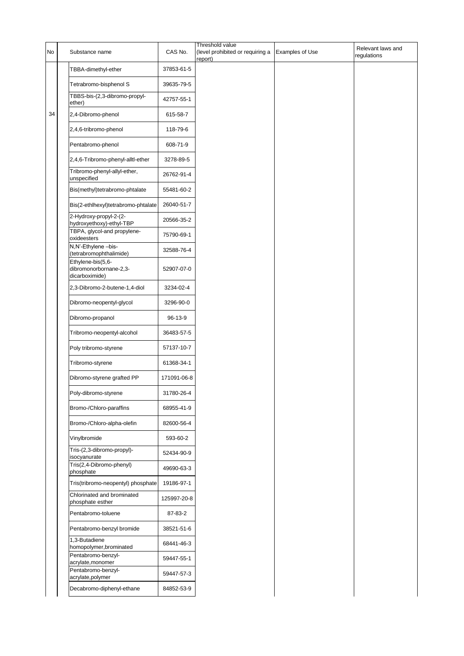| No | Substance name                                                | CAS No.     | Threshold value<br>(level prohibited or requiring a<br>report) | <b>Examples of Use</b> | Relevant laws and<br>regulations |
|----|---------------------------------------------------------------|-------------|----------------------------------------------------------------|------------------------|----------------------------------|
|    | TBBA-dimethyl-ether                                           | 37853-61-5  |                                                                |                        |                                  |
|    | Tetrabromo-bisphenol S                                        | 39635-79-5  |                                                                |                        |                                  |
|    | TBBS-bis-(2,3-dibromo-propyl-<br>ether)                       | 42757-55-1  |                                                                |                        |                                  |
| 34 | 2,4-Dibromo-phenol                                            | 615-58-7    |                                                                |                        |                                  |
|    | 2,4,6-tribromo-phenol                                         | 118-79-6    |                                                                |                        |                                  |
|    | Pentabromo-phenol                                             | 608-71-9    |                                                                |                        |                                  |
|    | 2,4,6-Tribromo-phenyl-alltl-ether                             | 3278-89-5   |                                                                |                        |                                  |
|    | Tribromo-phenyl-allyl-ether,<br>unspecified                   | 26762-91-4  |                                                                |                        |                                  |
|    | Bis(methyl)tetrabromo-phtalate                                | 55481-60-2  |                                                                |                        |                                  |
|    | Bis(2-ethlhexyl)tetrabromo-phtalate                           | 26040-51-7  |                                                                |                        |                                  |
|    | 2-Hydroxy-propyl-2-(2-<br>hydroxyethoxy)-ethyl-TBP            | 20566-35-2  |                                                                |                        |                                  |
|    | TBPA, glycol-and propylene-<br>oxideesters                    | 75790-69-1  |                                                                |                        |                                  |
|    | N,N'-Ethylene-bis-<br>(tetrabromophthalimide)                 | 32588-76-4  |                                                                |                        |                                  |
|    | Ethylene-bis(5,6-<br>dibromonorbornane-2,3-<br>dicarboximide) | 52907-07-0  |                                                                |                        |                                  |
|    | 2,3-Dibromo-2-butene-1,4-diol                                 | 3234-02-4   |                                                                |                        |                                  |
|    | Dibromo-neopentyl-glycol                                      | 3296-90-0   |                                                                |                        |                                  |
|    | Dibromo-propanol                                              | 96-13-9     |                                                                |                        |                                  |
|    | Tribromo-neopentyl-alcohol                                    | 36483-57-5  |                                                                |                        |                                  |
|    | Poly tribromo-styrene                                         | 57137-10-7  |                                                                |                        |                                  |
|    | Tribromo-styrene                                              | 61368-34-1  |                                                                |                        |                                  |
|    | Dibromo-styrene grafted PP                                    | 171091-06-8 |                                                                |                        |                                  |
|    | Poly-dibromo-styrene                                          | 31780-26-4  |                                                                |                        |                                  |
|    | Bromo-/Chloro-paraffins                                       | 68955-41-9  |                                                                |                        |                                  |
|    | Bromo-/Chloro-alpha-olefin                                    | 82600-56-4  |                                                                |                        |                                  |
|    | Vinylbromide                                                  | 593-60-2    |                                                                |                        |                                  |
|    | Tris-(2,3-dibromo-propyl)-<br>isocyanurate                    | 52434-90-9  |                                                                |                        |                                  |
|    | Tris(2,4-Dibromo-phenyl)<br>phosphate                         | 49690-63-3  |                                                                |                        |                                  |
|    | Tris(tribromo-neopentyl) phosphate                            | 19186-97-1  |                                                                |                        |                                  |
|    | Chlorinated and brominated<br>phosphate esther                | 125997-20-8 |                                                                |                        |                                  |
|    | Pentabromo-toluene                                            | 87-83-2     |                                                                |                        |                                  |
|    | Pentabromo-benzyl bromide                                     | 38521-51-6  |                                                                |                        |                                  |
|    | 1,3-Butadiene<br>homopolymer, brominated                      | 68441-46-3  |                                                                |                        |                                  |
|    | Pentabromo-benzyl-<br>acrylate, monomer                       | 59447-55-1  |                                                                |                        |                                  |
|    | Pentabromo-benzyl-<br>acrylate, polymer                       | 59447-57-3  |                                                                |                        |                                  |
|    | Decabromo-diphenyl-ethane                                     | 84852-53-9  |                                                                |                        |                                  |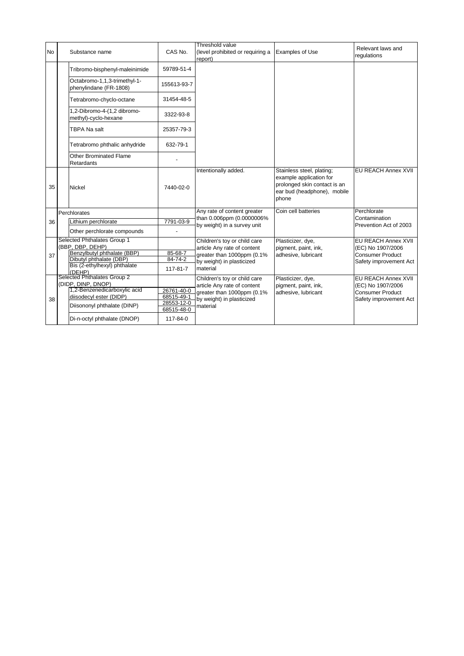| <b>No</b> | Substance name                                         | CAS No.                  | Threshold value<br>(level prohibited or requiring a<br>report) | <b>Examples of Use</b>                                                                                                       | Relevant laws and<br>regulations             |
|-----------|--------------------------------------------------------|--------------------------|----------------------------------------------------------------|------------------------------------------------------------------------------------------------------------------------------|----------------------------------------------|
|           | Tribromo-bisphenyl-maleinimide                         | 59789-51-4               |                                                                |                                                                                                                              |                                              |
|           | Octabromo-1,1,3-trimethyl-1-<br>phenylindane (FR-1808) | 155613-93-7              |                                                                |                                                                                                                              |                                              |
|           | Tetrabromo-chyclo-octane                               | 31454-48-5               |                                                                |                                                                                                                              |                                              |
|           | 1,2-Dibromo-4-(1,2 dibromo-<br>methyl)-cyclo-hexane    | 3322-93-8                |                                                                |                                                                                                                              |                                              |
|           | <b>TBPA Na salt</b>                                    | 25357-79-3               |                                                                |                                                                                                                              |                                              |
|           | Tetrabromo phthalic anhydride                          | 632-79-1                 |                                                                |                                                                                                                              |                                              |
|           | <b>Other Brominated Flame</b><br>Retardants            |                          |                                                                |                                                                                                                              |                                              |
| 35        | <b>Nickel</b>                                          | 7440-02-0                | Intentionally added.                                           | Stainless steel, plating;<br>example application for<br>prolonged skin contact is an<br>ear bud (headphone), mobile<br>phone | EU REACH Annex XVII                          |
|           | Perchlorates                                           |                          | Any rate of content greater                                    | Coin cell batteries                                                                                                          | Perchlorate                                  |
| 36        | Lithium perchlorate                                    | 7791-03-9                | than 0.006ppm (0.0000006%<br>by weight) in a survey unit       |                                                                                                                              | Contamination<br>Prevention Act of 2003      |
|           | Other perchlorate compounds                            |                          |                                                                |                                                                                                                              |                                              |
|           | Selected Phthalates Group 1<br>(BBP, DBP, DEHP)        |                          | Children's toy or child care                                   | Plasticizer, dye,                                                                                                            | EU REACH Annex XVII                          |
| 37        | Benzylbutyl phthalate (BBP)                            | 85-68-7                  | article Any rate of content<br>greater than 1000ppm (0.1%      | pigment, paint, ink,<br>adhesive, lubricant                                                                                  | (EC) No 1907/2006<br><b>Consumer Product</b> |
|           | Dibutyl phthalate (DBP)                                | 84-74-2                  | by weight) in plasticized                                      |                                                                                                                              | Safety improvement Act                       |
|           | Bis (2-ethylhexyl) phthalate<br>(DEHP)                 | 117-81-7                 | material                                                       |                                                                                                                              |                                              |
|           | Selected Phthalates Group 2                            |                          | Children's toy or child care                                   | Plasticizer, dye,                                                                                                            | EU REACH Annex XVII                          |
|           | (DIDP, DINP, DNOP)<br>1,2-Benzenedicarboxylic acid     | 26761-40-0               | article Any rate of content<br>greater than 1000ppm (0.1%      | pigment, paint, ink,                                                                                                         | (EC) No 1907/2006<br><b>Consumer Product</b> |
|           | diisodecyl ester (DIDP)                                | 68515-49-1               | by weight) in plasticized                                      | adhesive, lubricant                                                                                                          | Safety improvement Act                       |
| 38        | Diisononyl phthalate (DINP)                            | 28553-12-0<br>68515-48-0 | material                                                       |                                                                                                                              |                                              |
|           | Di-n-octyl phthalate (DNOP)                            | 117-84-0                 |                                                                |                                                                                                                              |                                              |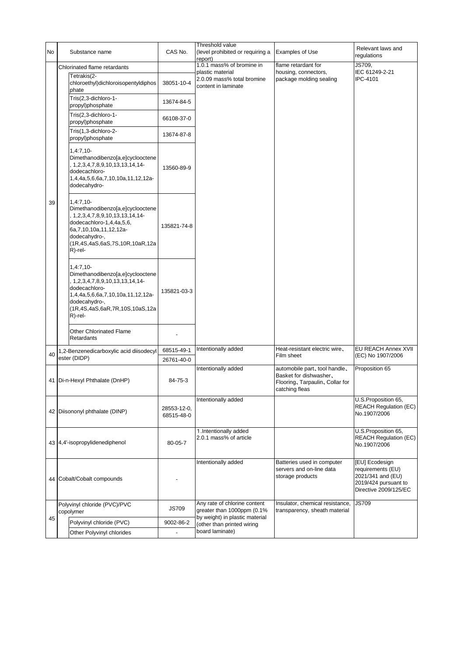| <b>No</b> |                                | Substance name                                                                                                                                                                                                      | CAS No.                   | Threshold value<br>(level prohibited or requiring a<br>report)        | <b>Examples of Use</b>                                                                                       | Relevant laws and<br>regulations                                                                          |
|-----------|--------------------------------|---------------------------------------------------------------------------------------------------------------------------------------------------------------------------------------------------------------------|---------------------------|-----------------------------------------------------------------------|--------------------------------------------------------------------------------------------------------------|-----------------------------------------------------------------------------------------------------------|
|           |                                | Chlorinated flame retardants                                                                                                                                                                                        |                           | 1.0.1 mass% of bromine in                                             | flame retardant for                                                                                          | JS709,                                                                                                    |
|           |                                | Tetrakis(2-<br>chloroethyl)dichloroisopentyldiphos<br>phate                                                                                                                                                         | 38051-10-4                | plastic material<br>2.0.09 mass% total bromine<br>content in laminate | housing, connectors,<br>package molding sealing                                                              | IEC 61249-2-21<br>IPC-4101                                                                                |
|           |                                | Tris(2,3-dichloro-1-<br>propyl)phosphate                                                                                                                                                                            | 13674-84-5                |                                                                       |                                                                                                              |                                                                                                           |
|           |                                | Tris(2,3-dichloro-1-<br>propyl)phosphate                                                                                                                                                                            | 66108-37-0                |                                                                       |                                                                                                              |                                                                                                           |
|           |                                | Tris(1,3-dichloro-2-<br>propyl)phosphate                                                                                                                                                                            | 13674-87-8                |                                                                       |                                                                                                              |                                                                                                           |
|           |                                | $1,4:7,10-$<br>Dimethanodibenzo[a,e]cyclooctene<br>, 1, 2, 3, 4, 7, 8, 9, 10, 13, 13, 14, 14-<br>dodecachloro-<br>1,4,4a,5,6,6a,7,10,10a,11,12,12a-<br>dodecahydro-                                                 | 13560-89-9                |                                                                       |                                                                                                              |                                                                                                           |
| 39        |                                | $1,4:7,10-$<br>Dimethanodibenzo[a,e]cyclooctene<br>, 1,2,3,4,7,8,9,10,13,13,14,14-<br>dodecachloro-1,4,4a,5,6,<br>6a, 7, 10, 10a, 11, 12, 12a-<br>dodecahydro-,<br>(1R,4S,4aS,6aS,7S,10R,10aR,12a<br>$R$ )-rel-     | 135821-74-8               |                                                                       |                                                                                                              |                                                                                                           |
|           |                                | $1,4:7,10-$<br>Dimethanodibenzo[a,e]cyclooctene<br>, 1, 2, 3, 4, 7, 8, 9, 10, 13, 13, 14, 14-<br>dodecachloro-<br>1,4,4a,5,6,6a,7,10,10a,11,12,12a-<br>dodecahydro-,<br>(1R,4S,4aS,6aR,7R,10S,10aS,12a<br>$R$ -rel- | 135821-03-3               |                                                                       |                                                                                                              |                                                                                                           |
|           |                                | <b>Other Chlorinated Flame</b><br>Retardants                                                                                                                                                                        |                           |                                                                       |                                                                                                              |                                                                                                           |
|           |                                | 1,2-Benzenedicarboxylic acid diisodecyl                                                                                                                                                                             | 68515-49-1                | Intentionally added                                                   | Heat-resistant electric wire,                                                                                | EU REACH Annex XVII                                                                                       |
| 40        |                                | ester (DIDP)                                                                                                                                                                                                        | 26761-40-0                |                                                                       | Film sheet                                                                                                   | (EC) No 1907/2006                                                                                         |
|           |                                | 41   Di-n-Hexyl Phthalate (DnHP)                                                                                                                                                                                    | 84-75-3                   | Intentionally added                                                   | automobile part, tool handle,<br>Basket for dishwasher,<br>Flooring, Tarpaulin, Collar for<br>catching fleas | Proposition 65                                                                                            |
|           | 42 Diisononyl phthalate (DINP) |                                                                                                                                                                                                                     | 28553-12-0,<br>68515-48-0 | Intentionally added                                                   |                                                                                                              | U.S.Proposition 65,<br><b>REACH Regulation (EC)</b><br>No.1907/2006                                       |
|           | 43 4,4'-isopropylidenediphenol |                                                                                                                                                                                                                     | 80-05-7                   | 1. Intentionally added<br>2.0.1 mass% of article                      |                                                                                                              | U.S.Proposition 65,<br><b>REACH Regulation (EC)</b><br>No.1907/2006                                       |
|           | 44 Cobalt/Cobalt compounds     |                                                                                                                                                                                                                     |                           | Intentionally added                                                   | Batteries used in computer<br>servers and on-line data<br>storage products                                   | [EU] Ecodesign<br>requirements (EU)<br>2021/341 and (EU)<br>2019/424 pursuant to<br>Directive 2009/125/EC |
|           |                                | Polyvinyl chloride (PVC)/PVC<br>copolymer                                                                                                                                                                           | <b>JS709</b>              | Any rate of chlorine content<br>greater than 1000ppm (0.1%            | Insulator, chemical resistance,<br>transparency, sheath material                                             | <b>JS709</b>                                                                                              |
| 45        |                                | Polyvinyl chloride (PVC)                                                                                                                                                                                            | 9002-86-2                 | by weight) in plastic material<br>(other than printed wiring          |                                                                                                              |                                                                                                           |
|           |                                | Other Polyvinyl chlorides                                                                                                                                                                                           |                           | board laminate)                                                       |                                                                                                              |                                                                                                           |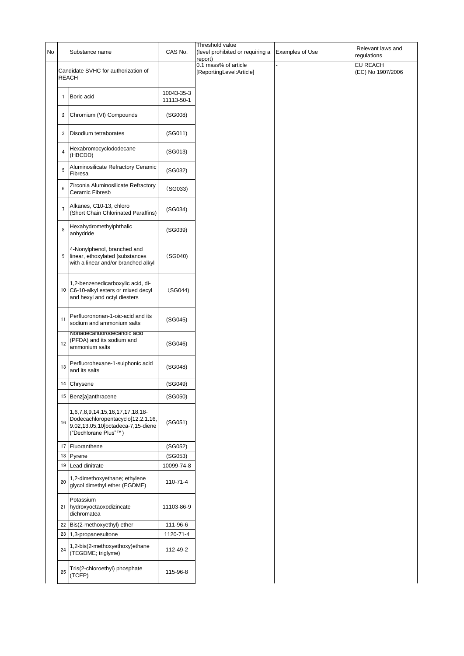| No |                | Substance name                                                                                                                    | CAS No.                  | Threshold value<br>(level prohibited or requiring a<br>report) | <b>Examples of Use</b> | Relevant laws and<br>regulations     |
|----|----------------|-----------------------------------------------------------------------------------------------------------------------------------|--------------------------|----------------------------------------------------------------|------------------------|--------------------------------------|
|    |                | Candidate SVHC for authorization of<br><b>REACH</b>                                                                               |                          | 0.1 mass% of article<br>[ReportingLevel:Article]               |                        | <b>EU REACH</b><br>(EC) No 1907/2006 |
|    | 1              | Boric acid                                                                                                                        | 10043-35-3<br>11113-50-1 |                                                                |                        |                                      |
|    | 2              | Chromium (VI) Compounds                                                                                                           | (SG008)                  |                                                                |                        |                                      |
|    | 3              | Disodium tetraborates                                                                                                             | (SG011)                  |                                                                |                        |                                      |
|    | 4              | Hexabromocyclododecane<br>(HBCDD)                                                                                                 | (SG013)                  |                                                                |                        |                                      |
|    | 5              | Aluminosilicate Refractory Ceramic<br>Fibresa                                                                                     | (SG032)                  |                                                                |                        |                                      |
|    | 6              | Zirconia Aluminosilicate Refractory<br>Ceramic Fibresb                                                                            | (SG033)                  |                                                                |                        |                                      |
|    | $\overline{7}$ | Alkanes, C10-13, chloro<br>(Short Chain Chlorinated Paraffins)                                                                    | (SG034)                  |                                                                |                        |                                      |
|    | 8              | Hexahydromethylphthalic<br>anhydride                                                                                              | (SG039)                  |                                                                |                        |                                      |
|    | 9              | 4-Nonylphenol, branched and<br>linear, ethoxylated [substances<br>with a linear and/or branched alkyl                             | (SG040)                  |                                                                |                        |                                      |
|    | 10             | 1,2-benzenedicarboxylic acid, di-<br>C6-10-alkyl esters or mixed decyl<br>and hexyl and octyl diesters                            | (SG044)                  |                                                                |                        |                                      |
|    | 11             | Perfluorononan-1-oic-acid and its<br>sodium and ammonium salts                                                                    | (SG045)                  |                                                                |                        |                                      |
|    | 12             | Nonadecatluorodecanoic acid<br>(PFDA) and its sodium and<br>ammonium salts                                                        | (SG046)                  |                                                                |                        |                                      |
|    | 13             | Perfluorohexane-1-sulphonic acid<br>and its salts                                                                                 | (SG048)                  |                                                                |                        |                                      |
|    |                | 14 Chrysene                                                                                                                       | (SG049)                  |                                                                |                        |                                      |
|    |                | 15 Benz[a]anthracene                                                                                                              | (SG050)                  |                                                                |                        |                                      |
|    | 16             | 1,6,7,8,9,14,15,16,17,17,18,18-<br>Dodecachloropentacyclo[12.2.1.16,<br>9.02,13.05,10]octadeca-7,15-diene<br>("Dechlorane Plus"™) | (SG051)                  |                                                                |                        |                                      |
|    | 17             | Fluoranthene                                                                                                                      | (SG052)                  |                                                                |                        |                                      |
|    | 18             | Pyrene                                                                                                                            | (SG053)                  |                                                                |                        |                                      |
|    |                | 19 Lead dinitrate                                                                                                                 | 10099-74-8               |                                                                |                        |                                      |
|    | 20             | 1,2-dimethoxyethane; ethylene<br>glycol dimethyl ether (EGDME)                                                                    | 110-71-4                 |                                                                |                        |                                      |
|    |                | Potassium<br>21 hydroxyoctaoxodizincate<br>dichromatea                                                                            | 11103-86-9               |                                                                |                        |                                      |
|    | 22             | Bis(2-methoxyethyl) ether                                                                                                         | 111-96-6                 |                                                                |                        |                                      |
|    |                | 23 1,3-propanesultone                                                                                                             | 1120-71-4                |                                                                |                        |                                      |
|    | 24             | 1,2-bis(2-methoxyethoxy)ethane<br>(TEGDME; triglyme)                                                                              | 112-49-2                 |                                                                |                        |                                      |
|    | 25             | Tris(2-chloroethyl) phosphate<br>(TCEP)                                                                                           | 115-96-8                 |                                                                |                        |                                      |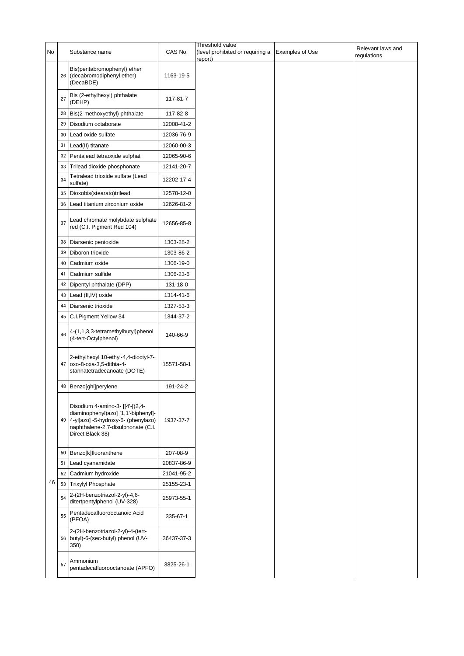|    |    |                                                                                                                                                                            |            | Threshold value                            |                        | Relevant laws and |
|----|----|----------------------------------------------------------------------------------------------------------------------------------------------------------------------------|------------|--------------------------------------------|------------------------|-------------------|
| No |    | Substance name                                                                                                                                                             | CAS No.    | level prohibited or requiring a<br>report) | <b>Examples of Use</b> | regulations       |
|    |    | Bis(pentabromophenyl) ether<br>26 (decabromodiphenyl ether)<br>(DecaBDE)                                                                                                   | 1163-19-5  |                                            |                        |                   |
|    | 27 | Bis (2-ethylhexyl) phthalate<br>(DEHP)                                                                                                                                     | 117-81-7   |                                            |                        |                   |
|    | 28 | Bis(2-methoxyethyl) phthalate                                                                                                                                              | 117-82-8   |                                            |                        |                   |
|    | 29 | Disodium octaborate                                                                                                                                                        | 12008-41-2 |                                            |                        |                   |
|    | 30 | Lead oxide sulfate                                                                                                                                                         | 12036-76-9 |                                            |                        |                   |
|    | 31 | Lead(II) titanate                                                                                                                                                          | 12060-00-3 |                                            |                        |                   |
|    | 32 | Pentalead tetraoxide sulphat                                                                                                                                               | 12065-90-6 |                                            |                        |                   |
|    | 33 | Trilead dioxide phosphonate                                                                                                                                                | 12141-20-7 |                                            |                        |                   |
|    | 34 | Tetralead trioxide sulfate (Lead                                                                                                                                           | 12202-17-4 |                                            |                        |                   |
|    |    | sulfate)                                                                                                                                                                   |            |                                            |                        |                   |
|    | 35 | Dioxobis(stearato)trilead                                                                                                                                                  | 12578-12-0 |                                            |                        |                   |
|    | 36 | Lead titanium zirconium oxide                                                                                                                                              | 12626-81-2 |                                            |                        |                   |
|    | 37 | Lead chromate molybdate sulphate<br>red (C.I. Pigment Red 104)                                                                                                             | 12656-85-8 |                                            |                        |                   |
|    | 38 | Diarsenic pentoxide                                                                                                                                                        | 1303-28-2  |                                            |                        |                   |
|    | 39 | Diboron trioxide                                                                                                                                                           | 1303-86-2  |                                            |                        |                   |
|    | 40 | Cadmium oxide                                                                                                                                                              | 1306-19-0  |                                            |                        |                   |
|    | 41 | Cadmium sulfide                                                                                                                                                            | 1306-23-6  |                                            |                        |                   |
|    | 42 | Dipentyl phthalate (DPP)                                                                                                                                                   | 131-18-0   |                                            |                        |                   |
|    | 43 | Lead (II, IV) oxide                                                                                                                                                        | 1314-41-6  |                                            |                        |                   |
|    | 44 | Diarsenic trioxide                                                                                                                                                         | 1327-53-3  |                                            |                        |                   |
|    | 45 | C.I.Pigment Yellow 34                                                                                                                                                      | 1344-37-2  |                                            |                        |                   |
|    | 46 | 4-(1,1,3,3-tetramethylbutyl)phenol<br>(4-tert-Octylphenol)                                                                                                                 | 140-66-9   |                                            |                        |                   |
|    | 47 | 2-ethylhexyl 10-ethyl-4,4-dioctyl-7-<br>oxo-8-oxa-3,5-dithia-4-<br>stannatetradecanoate (DOTE)                                                                             | 15571-58-1 |                                            |                        |                   |
|    |    | 48   Benzo[ghi]perylene                                                                                                                                                    | 191-24-2   |                                            |                        |                   |
|    |    | Disodium 4-amino-3- [[4'-[(2,4-<br>diaminophenyl)azo] [1,1'-biphenyl]-<br>49 4-yl]azo] -5-hydroxy-6- (phenylazo)<br>naphthalene-2,7-disulphonate (C.I.<br>Direct Black 38) | 1937-37-7  |                                            |                        |                   |
|    | 50 | Benzo[k]fluoranthene                                                                                                                                                       | 207-08-9   |                                            |                        |                   |
|    | 51 | Lead cyanamidate                                                                                                                                                           | 20837-86-9 |                                            |                        |                   |
|    | 52 | Cadmium hydroxide                                                                                                                                                          | 21041-95-2 |                                            |                        |                   |
| 46 |    | 53 Trixylyl Phosphate                                                                                                                                                      | 25155-23-1 |                                            |                        |                   |
|    | 54 | 2-(2H-benzotriazol-2-yl)-4,6-<br>ditertpentylphenol (UV-328)                                                                                                               | 25973-55-1 |                                            |                        |                   |
|    | 55 | Pentadecafluorooctanoic Acid<br>(PFOA)                                                                                                                                     | 335-67-1   |                                            |                        |                   |
|    |    | 2-(2H-benzotriazol-2-yl)-4-(tert-<br>56 butyl)-6-(sec-butyl) phenol (UV-<br>350)                                                                                           | 36437-37-3 |                                            |                        |                   |
|    | 57 | Ammonium<br>pentadecafluorooctanoate (APFO)                                                                                                                                | 3825-26-1  |                                            |                        |                   |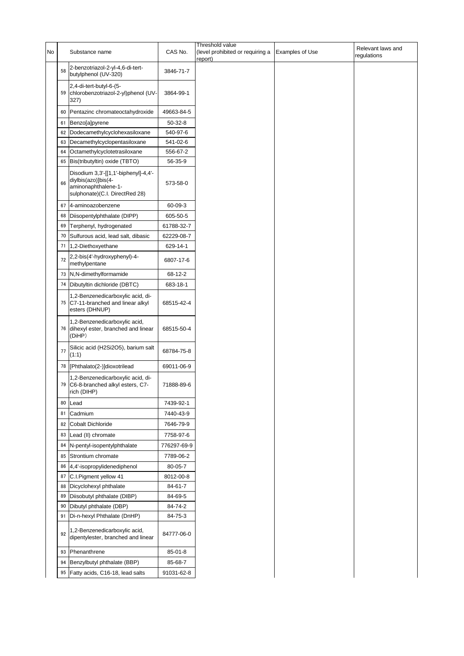| No |    |                                                                                                                      | CAS No.     | Threshold value<br>(level prohibited or requiring a |                        | Relevant laws and |
|----|----|----------------------------------------------------------------------------------------------------------------------|-------------|-----------------------------------------------------|------------------------|-------------------|
|    |    | Substance name                                                                                                       |             | report)                                             | <b>Examples of Use</b> | regulations       |
|    | 58 | 2-benzotriazol-2-yl-4,6-di-tert-<br>butylphenol (UV-320)                                                             | 3846-71-7   |                                                     |                        |                   |
|    | 59 | 2,4-di-tert-butyl-6-(5-<br>chlorobenzotriazol-2-yl)phenol (UV-<br>327)                                               | 3864-99-1   |                                                     |                        |                   |
|    | 60 | Pentazinc chromateoctahydroxide                                                                                      | 49663-84-5  |                                                     |                        |                   |
|    | 61 | Benzo[a]pyrene                                                                                                       | 50-32-8     |                                                     |                        |                   |
|    | 62 | Dodecamethylcyclohexasiloxane                                                                                        | 540-97-6    |                                                     |                        |                   |
|    | 63 | Decamethylcyclopentasiloxane                                                                                         | 541-02-6    |                                                     |                        |                   |
|    | 64 | Octamethylcyclotetrasiloxane                                                                                         | 556-67-2    |                                                     |                        |                   |
|    | 65 | Bis(tributyltin) oxide (TBTO)                                                                                        | 56-35-9     |                                                     |                        |                   |
|    | 66 | Disodium 3,3'-[[1,1'-biphenyl]-4,4'-<br>diylbis(azo)]bis(4-<br>aminonaphthalene-1-<br>sulphonate)(C.I. DirectRed 28) | 573-58-0    |                                                     |                        |                   |
|    | 67 | 4-aminoazobenzene                                                                                                    | 60-09-3     |                                                     |                        |                   |
|    | 68 | Diisopentylphthalate (DIPP)                                                                                          | 605-50-5    |                                                     |                        |                   |
|    | 69 | Terphenyl, hydrogenated                                                                                              | 61788-32-7  |                                                     |                        |                   |
|    | 70 | Sulfurous acid, lead salt, dibasic                                                                                   | 62229-08-7  |                                                     |                        |                   |
|    | 71 | 1,2-Diethoxyethane                                                                                                   | 629-14-1    |                                                     |                        |                   |
|    | 72 | 2,2-bis(4'-hydroxyphenyl)-4-<br>methylpentane                                                                        | 6807-17-6   |                                                     |                        |                   |
|    | 73 | N,N-dimethylformamide                                                                                                | 68-12-2     |                                                     |                        |                   |
|    | 74 | Dibutyltin dichloride (DBTC)                                                                                         | 683-18-1    |                                                     |                        |                   |
|    | 75 | 1,2-Benzenedicarboxylic acid, di-<br>C7-11-branched and linear alkyl<br>esters (DHNUP)                               | 68515-42-4  |                                                     |                        |                   |
|    | 76 | 1,2-Benzenedicarboxylic acid,<br>dihexyl ester, branched and linear<br>(DiHP)                                        | 68515-50-4  |                                                     |                        |                   |
|    | 77 | Silicic acid (H2Si2O5), barium salt<br>(1:1)                                                                         | 68784-75-8  |                                                     |                        |                   |
|    | 78 | [Phthalato(2-)]dioxotrilead                                                                                          | 69011-06-9  |                                                     |                        |                   |
|    | 79 | 1,2-Benzenedicarboxylic acid, di-<br>C6-8-branched alkyl esters, C7-<br>rich (DIHP)                                  | 71888-89-6  |                                                     |                        |                   |
|    | 80 | Lead                                                                                                                 | 7439-92-1   |                                                     |                        |                   |
|    | 81 | Cadmium                                                                                                              | 7440-43-9   |                                                     |                        |                   |
|    | 82 | <b>Cobalt Dichloride</b>                                                                                             | 7646-79-9   |                                                     |                        |                   |
|    | 83 | Lead (II) chromate                                                                                                   | 7758-97-6   |                                                     |                        |                   |
|    | 84 | N-pentyl-isopentylphthalate                                                                                          | 776297-69-9 |                                                     |                        |                   |
|    | 85 | Strontium chromate                                                                                                   | 7789-06-2   |                                                     |                        |                   |
|    | 86 | 4,4'-isopropylidenediphenol                                                                                          | 80-05-7     |                                                     |                        |                   |
|    | 87 | C.I.Pigment yellow 41                                                                                                | 8012-00-8   |                                                     |                        |                   |
|    | 88 | Dicyclohexyl phthalate                                                                                               | 84-61-7     |                                                     |                        |                   |
|    | 89 | Diisobutyl phthalate (DIBP)                                                                                          | 84-69-5     |                                                     |                        |                   |
|    | 90 | Dibutyl phthalate (DBP)                                                                                              | 84-74-2     |                                                     |                        |                   |
|    | 91 | Di-n-hexyl Phthalate (DnHP)                                                                                          | 84-75-3     |                                                     |                        |                   |
|    | 92 | 1,2-Benzenedicarboxylic acid,<br>dipentylester, branched and linear                                                  | 84777-06-0  |                                                     |                        |                   |
|    | 93 | Phenanthrene                                                                                                         | 85-01-8     |                                                     |                        |                   |
|    | 94 | Benzylbutyl phthalate (BBP)                                                                                          | 85-68-7     |                                                     |                        |                   |
|    | 95 | Fatty acids, C16-18, lead salts                                                                                      | 91031-62-8  |                                                     |                        |                   |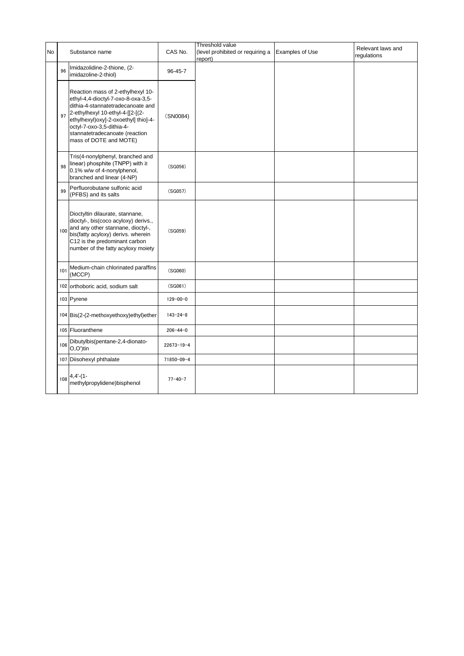|           |     |                                                                                                                                                                                                                                                                                   |                  | Threshold value                             |                 | Relevant laws and |
|-----------|-----|-----------------------------------------------------------------------------------------------------------------------------------------------------------------------------------------------------------------------------------------------------------------------------------|------------------|---------------------------------------------|-----------------|-------------------|
| <b>No</b> |     | Substance name                                                                                                                                                                                                                                                                    | CAS No.          | (level prohibited or requiring a<br>report) | Examples of Use | requlations       |
|           | 96  | Imidazolidine-2-thione, (2-<br>imidazoline-2-thiol)                                                                                                                                                                                                                               | 96-45-7          |                                             |                 |                   |
|           | 97  | Reaction mass of 2-ethylhexyl 10-<br>ethyl-4,4-dioctyl-7-oxo-8-oxa-3,5-<br>dithia-4-stannatetradecanoate and<br>2-ethylhexyl 10-ethyl-4-[[2-[(2-<br>ethylhexyl)oxy]-2-oxoethyl] thio]-4-<br>octyl-7-oxo-3,5-dithia-4-<br>stannatetradecanoate (reaction<br>mass of DOTE and MOTE) | (SN0084)         |                                             |                 |                   |
|           | 98  | Tris(4-nonylphenyl, branched and<br>linear) phosphite (TNPP) with $\geq$<br>0.1% w/w of 4-nonylphenol,<br>branched and linear (4-NP)                                                                                                                                              | (SG056)          |                                             |                 |                   |
|           | 99  | Perfluorobutane sulfonic acid<br>(PFBS) and its salts                                                                                                                                                                                                                             | (SG057)          |                                             |                 |                   |
|           | 100 | Dioctyltin dilaurate, stannane,<br>dioctyl-, bis(coco acyloxy) derivs.,<br>and any other stannane, dioctyl-,<br>bis(fatty acyloxy) derivs. wherein<br>C12 is the predominant carbon<br>number of the fatty acyloxy moiety                                                         | (SG059)          |                                             |                 |                   |
|           | 101 | Medium-chain chlorinated paraffins<br>(MCCP)                                                                                                                                                                                                                                      | (SG060)          |                                             |                 |                   |
|           |     | 102 orthoboric acid, sodium salt                                                                                                                                                                                                                                                  | (SG061)          |                                             |                 |                   |
|           |     | 103 Pyrene                                                                                                                                                                                                                                                                        | $129 - 00 - 0$   |                                             |                 |                   |
|           |     | 104 Bis(2-(2-methoxyethoxy)ethyl)ether                                                                                                                                                                                                                                            | $143 - 24 - 8$   |                                             |                 |                   |
|           |     | 105 Fluoranthene                                                                                                                                                                                                                                                                  | $206 - 44 - 0$   |                                             |                 |                   |
|           | 106 | Dibutylbis(pentane-2,4-dionato-<br>O,O')tin                                                                                                                                                                                                                                       | $22673 - 19 - 4$ |                                             |                 |                   |
|           | 107 | Diisohexyl phthalate                                                                                                                                                                                                                                                              | 71850-09-4       |                                             |                 |                   |
|           | 108 | $4,4-(1-$<br>methylpropylidene)bisphenol                                                                                                                                                                                                                                          | $77 - 40 - 7$    |                                             |                 |                   |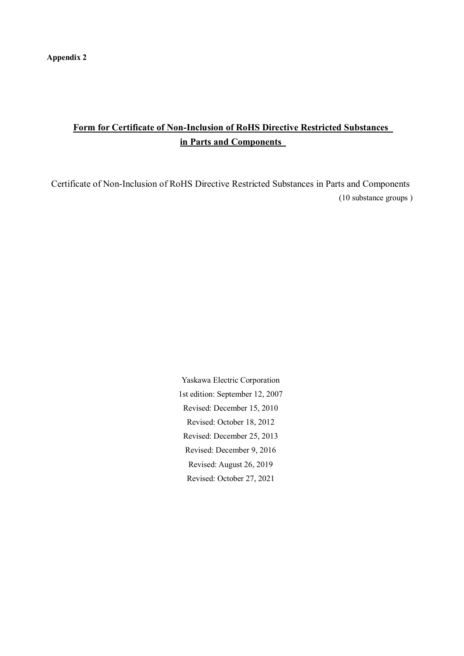## **Form for Certificate of Non-Inclusion of RoHS Directive Restricted Substances in Parts and Components**

Certificate of Non-Inclusion of RoHS Directive Restricted Substances in Parts and Components (10 substance groups )

> Yaskawa Electric Corporation 1st edition: September 12, 2007 Revised: December 15, 2010 Revised: October 18, 2012 Revised: December 25, 2013 Revised: December 9, 2016 Revised: August 26, 2019 Revised: October 27, 2021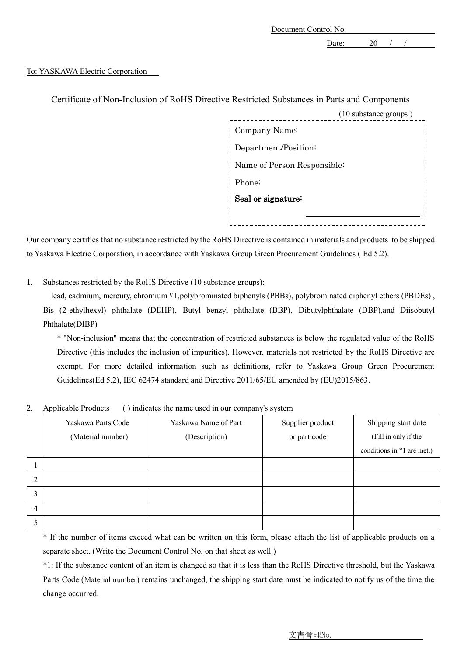Document Control No.

Date: 20 / /

#### To: YASKAWA Electric Corporation

| Certificate of Non-Inclusion of RoHS Directive Restricted Substances in Parts and Components |
|----------------------------------------------------------------------------------------------|
| (10 substance groups)                                                                        |
| Company Name:                                                                                |
| Department/Position:                                                                         |
| Name of Person Responsible:                                                                  |
| Phone:                                                                                       |
| Seal or signature:                                                                           |
|                                                                                              |
|                                                                                              |

Certificate of Non-Inclusion of Ro<sub>F</sub>

Our company certifies that no substance restricted by the RoHS Directive is contained in materials and products to be shipped to Yaskawa Electric Corporation, in accordance with Yaskawa Group Green Procurement Guidelines ( Ed 5.2).

1. Substances restricted by the RoHS Directive (10 substance groups):

lead, cadmium, mercury, chromium VI,polybrominated biphenyls (PBBs), polybrominated diphenyl ethers (PBDEs) , Bis (2-ethylhexyl) phthalate (DEHP), Butyl benzyl phthalate (BBP), Dibutylphthalate (DBP),and Diisobutyl Phthalate(DIBP)

\* "Non-inclusion" means that the concentration of restricted substances is below the regulated value of the RoHS Directive (this includes the inclusion of impurities). However, materials not restricted by the RoHS Directive are exempt. For more detailed information such as definitions, refer to Yaskawa Group Green Procurement Guidelines(Ed 5.2), IEC 62474 standard and Directive 2011/65/EU amended by (EU)2015/863.

|  |  | Applicable Products () indicates the name used in our company's system |  |
|--|--|------------------------------------------------------------------------|--|
|--|--|------------------------------------------------------------------------|--|

|   | Yaskawa Parts Code | Yaskawa Name of Part | Supplier product | Shipping start date        |
|---|--------------------|----------------------|------------------|----------------------------|
|   | (Material number)  | (Description)        | or part code     | (Fill in only if the       |
|   |                    |                      |                  | conditions in *1 are met.) |
|   |                    |                      |                  |                            |
| 2 |                    |                      |                  |                            |
| 3 |                    |                      |                  |                            |
| 4 |                    |                      |                  |                            |
|   |                    |                      |                  |                            |

\* If the number of items exceed what can be written on this form, please attach the list of applicable products on a separate sheet. (Write the Document Control No. on that sheet as well.)

\*1: If the substance content of an item is changed so that it is less than the RoHS Directive threshold, but the Yaskawa Parts Code (Material number) remains unchanged, the shipping start date must be indicated to notify us of the time the change occurred.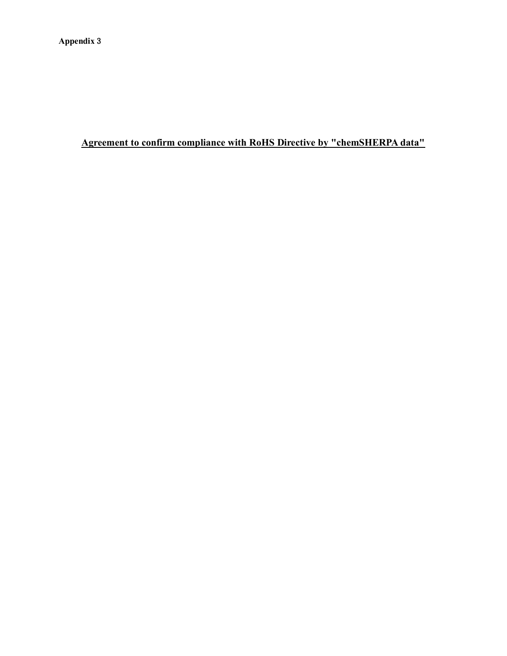## **Agreement to confirm compliance with RoHS Directive by "chemSHERPA data"**